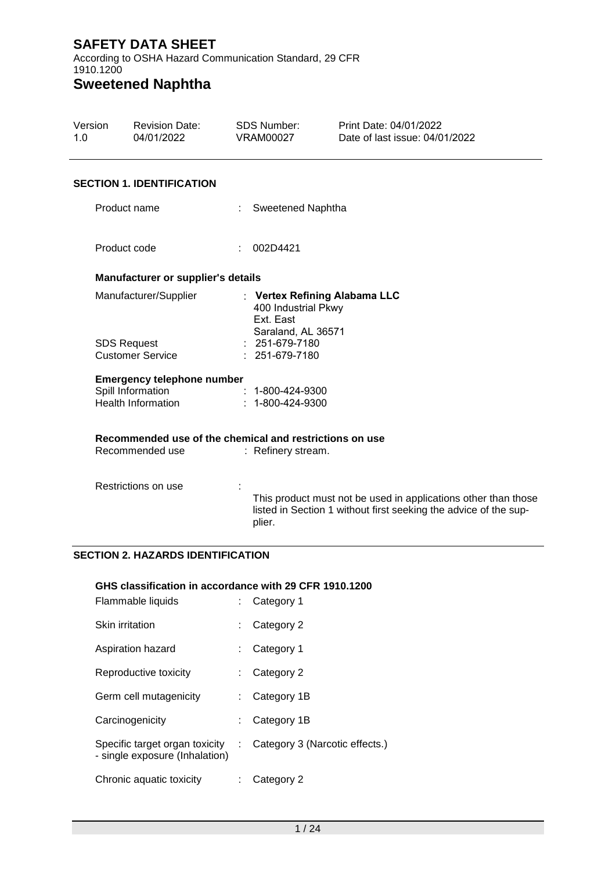According to OSHA Hazard Communication Standard, 29 CFR 1910.1200

# **Sweetened Naphtha**

| Version<br>1.0 |                       | <b>Revision Date:</b><br>04/01/2022                                        | <b>SDS Number:</b><br><b>VRAM00027</b>                 | Print Date: 04/01/2022<br>Date of last issue: 04/01/2022                                                                           |  |
|----------------|-----------------------|----------------------------------------------------------------------------|--------------------------------------------------------|------------------------------------------------------------------------------------------------------------------------------------|--|
|                |                       | <b>SECTION 1. IDENTIFICATION</b>                                           |                                                        |                                                                                                                                    |  |
|                | Product name          |                                                                            | Sweetened Naphtha                                      |                                                                                                                                    |  |
|                | Product code          |                                                                            | 002D4421                                               |                                                                                                                                    |  |
|                |                       | Manufacturer or supplier's details                                         |                                                        |                                                                                                                                    |  |
|                | Manufacturer/Supplier |                                                                            | 400 Industrial Pkwy<br>Ext. East<br>Saraland, AL 36571 | : Vertex Refining Alabama LLC                                                                                                      |  |
|                | <b>SDS Request</b>    | <b>Customer Service</b>                                                    | : 251-679-7180<br>251-679-7180                         |                                                                                                                                    |  |
|                |                       | <b>Emergency telephone number</b>                                          |                                                        |                                                                                                                                    |  |
|                |                       | Spill Information<br><b>Health Information</b>                             | 1-800-424-9300<br>1-800-424-9300                       |                                                                                                                                    |  |
|                |                       | Recommended use of the chemical and restrictions on use<br>Recommended use |                                                        |                                                                                                                                    |  |
|                |                       |                                                                            | : Refinery stream.                                     |                                                                                                                                    |  |
|                |                       | Restrictions on use                                                        | plier.                                                 | This product must not be used in applications other than those<br>listed in Section 1 without first seeking the advice of the sup- |  |
|                |                       | <b>SECTION 2. HAZARDS IDENTIFICATION</b>                                   |                                                        |                                                                                                                                    |  |

#### **GHS classification in accordance with 29 CFR 1910.1200**

| Flammable liquids                                                |    | Category 1                     |
|------------------------------------------------------------------|----|--------------------------------|
| <b>Skin irritation</b>                                           |    | Category 2                     |
| Aspiration hazard                                                |    | Category 1                     |
| Reproductive toxicity                                            |    | Category 2                     |
| Germ cell mutagenicity                                           |    | Category 1B                    |
| Carcinogenicity                                                  |    | Category 1B                    |
| Specific target organ toxicity<br>- single exposure (Inhalation) | ÷. | Category 3 (Narcotic effects.) |
| Chronic aquatic toxicity                                         |    | Category 2                     |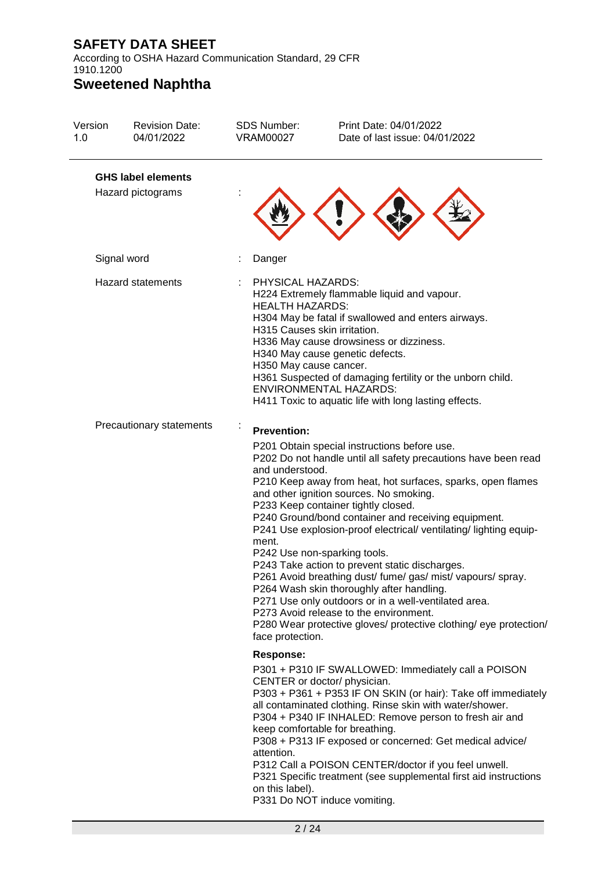According to OSHA Hazard Communication Standard, 29 CFR 1910.1200

# **Sweetened Naphtha**

| Version<br>1.0                                       | <b>Revision Date:</b><br>04/01/2022            | <b>SDS Number:</b><br><b>VRAM00027</b>                                                                | Print Date: 04/01/2022<br>Date of last issue: 04/01/2022                                                                                                                                                                                                                                                                                                                                                                                                                                                                                                                                                                                                                                                                                                       |
|------------------------------------------------------|------------------------------------------------|-------------------------------------------------------------------------------------------------------|----------------------------------------------------------------------------------------------------------------------------------------------------------------------------------------------------------------------------------------------------------------------------------------------------------------------------------------------------------------------------------------------------------------------------------------------------------------------------------------------------------------------------------------------------------------------------------------------------------------------------------------------------------------------------------------------------------------------------------------------------------------|
|                                                      | <b>GHS label elements</b><br>Hazard pictograms |                                                                                                       |                                                                                                                                                                                                                                                                                                                                                                                                                                                                                                                                                                                                                                                                                                                                                                |
|                                                      | Signal word                                    | Danger                                                                                                |                                                                                                                                                                                                                                                                                                                                                                                                                                                                                                                                                                                                                                                                                                                                                                |
| <b>Hazard statements</b><br>Precautionary statements |                                                | PHYSICAL HAZARDS:<br><b>HEALTH HAZARDS:</b><br>H315 Causes skin irritation.<br>H350 May cause cancer. | H224 Extremely flammable liquid and vapour.<br>H304 May be fatal if swallowed and enters airways.<br>H336 May cause drowsiness or dizziness.<br>H340 May cause genetic defects.<br>H361 Suspected of damaging fertility or the unborn child.<br><b>ENVIRONMENTAL HAZARDS:</b><br>H411 Toxic to aquatic life with long lasting effects.                                                                                                                                                                                                                                                                                                                                                                                                                         |
|                                                      |                                                | <b>Prevention:</b><br>and understood.<br>ment.<br>face protection.                                    | P201 Obtain special instructions before use.<br>P202 Do not handle until all safety precautions have been read<br>P210 Keep away from heat, hot surfaces, sparks, open flames<br>and other ignition sources. No smoking.<br>P233 Keep container tightly closed.<br>P240 Ground/bond container and receiving equipment.<br>P241 Use explosion-proof electrical/ventilating/lighting equip-<br>P242 Use non-sparking tools.<br>P243 Take action to prevent static discharges.<br>P261 Avoid breathing dust/ fume/ gas/ mist/ vapours/ spray.<br>P264 Wash skin thoroughly after handling.<br>P271 Use only outdoors or in a well-ventilated area.<br>P273 Avoid release to the environment.<br>P280 Wear protective gloves/ protective clothing/ eye protection/ |
|                                                      |                                                | <b>Response:</b><br>attention.<br>on this label).                                                     | P301 + P310 IF SWALLOWED: Immediately call a POISON<br>CENTER or doctor/ physician.<br>P303 + P361 + P353 IF ON SKIN (or hair): Take off immediately<br>all contaminated clothing. Rinse skin with water/shower.<br>P304 + P340 IF INHALED: Remove person to fresh air and<br>keep comfortable for breathing.<br>P308 + P313 IF exposed or concerned: Get medical advice/<br>P312 Call a POISON CENTER/doctor if you feel unwell.<br>P321 Specific treatment (see supplemental first aid instructions<br>P331 Do NOT induce vomiting.                                                                                                                                                                                                                          |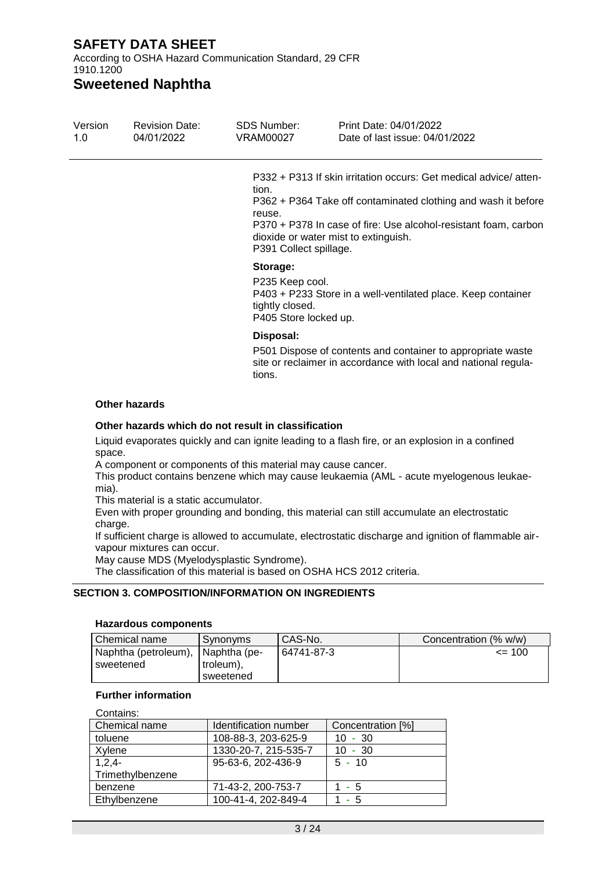According to OSHA Hazard Communication Standard, 29 CFR 1910.1200

**Sweetened Naphtha**

| Version<br>1.0 | <b>Revision Date:</b><br>04/01/2022 | <b>SDS Number:</b><br>VRAM00027                                         | Print Date: 04/01/2022<br>Date of last issue: 04/01/2022                                                                                                                                                                                     |
|----------------|-------------------------------------|-------------------------------------------------------------------------|----------------------------------------------------------------------------------------------------------------------------------------------------------------------------------------------------------------------------------------------|
|                |                                     | tion.<br>reuse.<br>P391 Collect spillage.                               | P332 + P313 If skin irritation occurs: Get medical advice/atten-<br>P362 + P364 Take off contaminated clothing and wash it before<br>P370 + P378 In case of fire: Use alcohol-resistant foam, carbon<br>dioxide or water mist to extinguish. |
|                |                                     | Storage:<br>P235 Keep cool.<br>tightly closed.<br>P405 Store locked up. | P403 + P233 Store in a well-ventilated place. Keep container                                                                                                                                                                                 |
|                |                                     | Disposal:<br>tions.                                                     | P501 Dispose of contents and container to appropriate waste<br>site or reclaimer in accordance with local and national regula-                                                                                                               |

#### **Other hazards**

#### **Other hazards which do not result in classification**

Liquid evaporates quickly and can ignite leading to a flash fire, or an explosion in a confined space.

A component or components of this material may cause cancer.

This product contains benzene which may cause leukaemia (AML - acute myelogenous leukaemia).

This material is a static accumulator.

Even with proper grounding and bonding, this material can still accumulate an electrostatic charge.

If sufficient charge is allowed to accumulate, electrostatic discharge and ignition of flammable airvapour mixtures can occur.

May cause MDS (Myelodysplastic Syndrome).

The classification of this material is based on OSHA HCS 2012 criteria.

#### **SECTION 3. COMPOSITION/INFORMATION ON INGREDIENTS**

#### **Hazardous components**

| Chemical name        | Synonyms       | CAS-No.    | Concentration (% w/w) |
|----------------------|----------------|------------|-----------------------|
| Naphtha (petroleum), | l Naphtha (pe- | 64741-87-3 | $= 100$               |
| sweetened            | troleum),      |            |                       |
|                      | sweetened      |            |                       |

#### **Further information**

| Contains:        |                       |                   |  |  |  |
|------------------|-----------------------|-------------------|--|--|--|
| Chemical name    | Identification number | Concentration [%] |  |  |  |
| toluene          | 108-88-3, 203-625-9   | $10 - 30$         |  |  |  |
| Xylene           | 1330-20-7, 215-535-7  | $10 - 30$         |  |  |  |
| $1,2,4-$         | 95-63-6, 202-436-9    | $5 - 10$          |  |  |  |
| Trimethylbenzene |                       |                   |  |  |  |
| benzene          | 71-43-2, 200-753-7    | - 5               |  |  |  |
| Ethylbenzene     | 100-41-4, 202-849-4   | - 5               |  |  |  |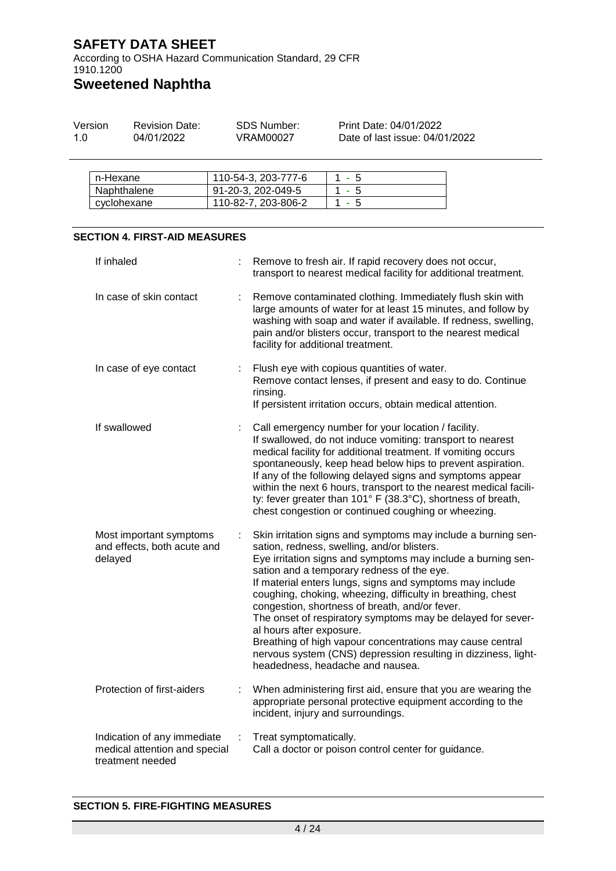According to OSHA Hazard Communication Standard, 29 CFR 1910.1200

# **Sweetened Naphtha**

| Version | <b>Revision Date:</b> | SDS Number: | Print Date: 04/01/2022         |
|---------|-----------------------|-------------|--------------------------------|
| 1.0     | 04/01/2022            | VRAM00027   | Date of last issue: 04/01/2022 |

| n-Hexane    | 110-54-3, 203-777-6 | - 5   |
|-------------|---------------------|-------|
| Naphthalene | 91-20-3, 202-049-5  | 1 - 5 |
| cyclohexane | 110-82-7, 203-806-2 | - 5   |

#### **SECTION 4. FIRST-AID MEASURES**

| If inhaled                                                                       |   | Remove to fresh air. If rapid recovery does not occur,<br>transport to nearest medical facility for additional treatment.                                                                                                                                                                                                                                                                                                                                                                                                                                                                                                                                             |
|----------------------------------------------------------------------------------|---|-----------------------------------------------------------------------------------------------------------------------------------------------------------------------------------------------------------------------------------------------------------------------------------------------------------------------------------------------------------------------------------------------------------------------------------------------------------------------------------------------------------------------------------------------------------------------------------------------------------------------------------------------------------------------|
| In case of skin contact                                                          | ÷ | Remove contaminated clothing. Immediately flush skin with<br>large amounts of water for at least 15 minutes, and follow by<br>washing with soap and water if available. If redness, swelling,<br>pain and/or blisters occur, transport to the nearest medical<br>facility for additional treatment.                                                                                                                                                                                                                                                                                                                                                                   |
| In case of eye contact                                                           | ÷ | Flush eye with copious quantities of water.<br>Remove contact lenses, if present and easy to do. Continue<br>rinsing.<br>If persistent irritation occurs, obtain medical attention.                                                                                                                                                                                                                                                                                                                                                                                                                                                                                   |
| If swallowed                                                                     | ÷ | Call emergency number for your location / facility.<br>If swallowed, do not induce vomiting: transport to nearest<br>medical facility for additional treatment. If vomiting occurs<br>spontaneously, keep head below hips to prevent aspiration.<br>If any of the following delayed signs and symptoms appear<br>within the next 6 hours, transport to the nearest medical facili-<br>ty: fever greater than 101° F (38.3°C), shortness of breath,<br>chest congestion or continued coughing or wheezing.                                                                                                                                                             |
| Most important symptoms<br>and effects, both acute and<br>delayed                | ÷ | Skin irritation signs and symptoms may include a burning sen-<br>sation, redness, swelling, and/or blisters.<br>Eye irritation signs and symptoms may include a burning sen-<br>sation and a temporary redness of the eye.<br>If material enters lungs, signs and symptoms may include<br>coughing, choking, wheezing, difficulty in breathing, chest<br>congestion, shortness of breath, and/or fever.<br>The onset of respiratory symptoms may be delayed for sever-<br>al hours after exposure.<br>Breathing of high vapour concentrations may cause central<br>nervous system (CNS) depression resulting in dizziness, light-<br>headedness, headache and nausea. |
| Protection of first-aiders                                                       | ÷ | When administering first aid, ensure that you are wearing the<br>appropriate personal protective equipment according to the<br>incident, injury and surroundings.                                                                                                                                                                                                                                                                                                                                                                                                                                                                                                     |
| Indication of any immediate<br>medical attention and special<br>treatment needed | ÷ | Treat symptomatically.<br>Call a doctor or poison control center for guidance.                                                                                                                                                                                                                                                                                                                                                                                                                                                                                                                                                                                        |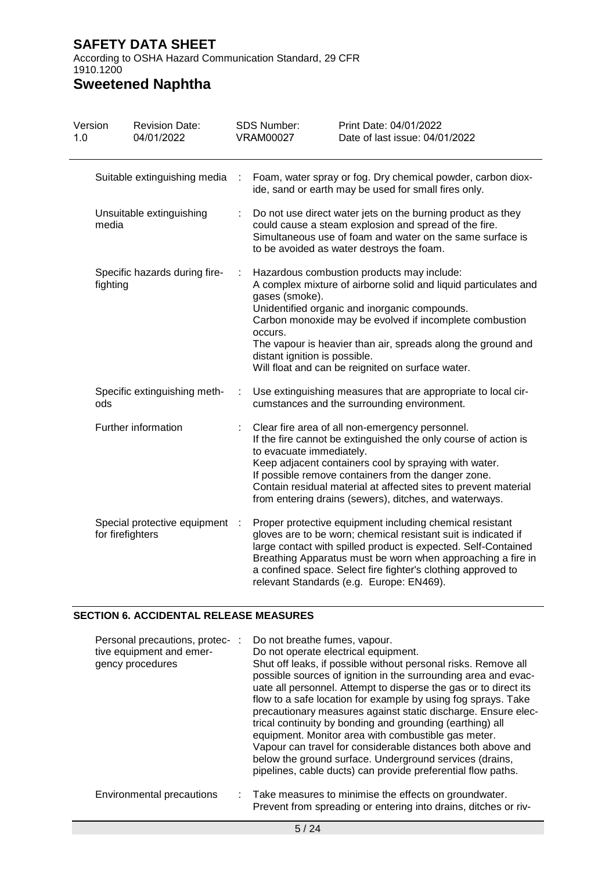According to OSHA Hazard Communication Standard, 29 CFR 1910.1200

# **Sweetened Naphtha**

| Version<br>1.0 |                                     | <b>Revision Date:</b><br>04/01/2022 |           | SDS Number:<br><b>VRAM00027</b>                                                                                                                                                                                                | Print Date: 04/01/2022<br>Date of last issue: 04/01/2022                                                                                                                                                                                                                                                                                                                |  |
|----------------|-------------------------------------|-------------------------------------|-----------|--------------------------------------------------------------------------------------------------------------------------------------------------------------------------------------------------------------------------------|-------------------------------------------------------------------------------------------------------------------------------------------------------------------------------------------------------------------------------------------------------------------------------------------------------------------------------------------------------------------------|--|
|                |                                     | Suitable extinguishing media        | ÷         |                                                                                                                                                                                                                                | Foam, water spray or fog. Dry chemical powder, carbon diox-<br>ide, sand or earth may be used for small fires only.                                                                                                                                                                                                                                                     |  |
|                | Unsuitable extinguishing<br>media   |                                     |           | Do not use direct water jets on the burning product as they<br>could cause a steam explosion and spread of the fire.<br>Simultaneous use of foam and water on the same surface is<br>to be avoided as water destroys the foam. |                                                                                                                                                                                                                                                                                                                                                                         |  |
|                | fighting                            | Specific hazards during fire-       | ÷         | gases (smoke).<br>occurs.<br>distant ignition is possible.                                                                                                                                                                     | Hazardous combustion products may include:<br>A complex mixture of airborne solid and liquid particulates and<br>Unidentified organic and inorganic compounds.<br>Carbon monoxide may be evolved if incomplete combustion<br>The vapour is heavier than air, spreads along the ground and<br>Will float and can be reignited on surface water.                          |  |
|                | Specific extinguishing meth-<br>ods |                                     | ÷         |                                                                                                                                                                                                                                | Use extinguishing measures that are appropriate to local cir-<br>cumstances and the surrounding environment.                                                                                                                                                                                                                                                            |  |
|                |                                     | Further information                 |           | to evacuate immediately.                                                                                                                                                                                                       | Clear fire area of all non-emergency personnel.<br>If the fire cannot be extinguished the only course of action is<br>Keep adjacent containers cool by spraying with water.<br>If possible remove containers from the danger zone.<br>Contain residual material at affected sites to prevent material<br>from entering drains (sewers), ditches, and waterways.         |  |
|                | for firefighters                    | Special protective equipment        | $\cdot$ : |                                                                                                                                                                                                                                | Proper protective equipment including chemical resistant<br>gloves are to be worn; chemical resistant suit is indicated if<br>large contact with spilled product is expected. Self-Contained<br>Breathing Apparatus must be worn when approaching a fire in<br>a confined space. Select fire fighter's clothing approved to<br>relevant Standards (e.g. Europe: EN469). |  |

#### **SECTION 6. ACCIDENTAL RELEASE MEASURES**

| Personal precautions, protec-:<br>tive equipment and emer-<br>gency procedures | Do not breathe fumes, vapour.<br>Do not operate electrical equipment.<br>Shut off leaks, if possible without personal risks. Remove all<br>possible sources of ignition in the surrounding area and evac-<br>uate all personnel. Attempt to disperse the gas or to direct its<br>flow to a safe location for example by using fog sprays. Take<br>precautionary measures against static discharge. Ensure elec-<br>trical continuity by bonding and grounding (earthing) all<br>equipment. Monitor area with combustible gas meter.<br>Vapour can travel for considerable distances both above and<br>below the ground surface. Underground services (drains,<br>pipelines, cable ducts) can provide preferential flow paths. |
|--------------------------------------------------------------------------------|-------------------------------------------------------------------------------------------------------------------------------------------------------------------------------------------------------------------------------------------------------------------------------------------------------------------------------------------------------------------------------------------------------------------------------------------------------------------------------------------------------------------------------------------------------------------------------------------------------------------------------------------------------------------------------------------------------------------------------|
| Environmental precautions                                                      | : Take measures to minimise the effects on groundwater.<br>Prevent from spreading or entering into drains, ditches or riv-                                                                                                                                                                                                                                                                                                                                                                                                                                                                                                                                                                                                    |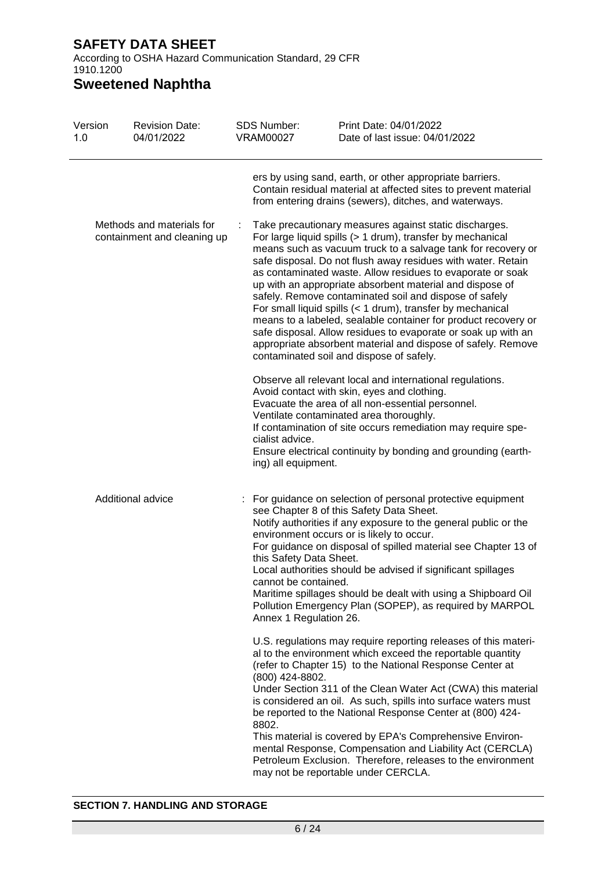According to OSHA Hazard Communication Standard, 29 CFR 1910.1200

# **Sweetened Naphtha**

| Version<br>1.0                                           | <b>Revision Date:</b><br>04/01/2022 | <b>SDS Number:</b><br><b>VRAM00027</b>                                    | Print Date: 04/01/2022<br>Date of last issue: 04/01/2022                                                                                                                                                                                                                                                                                                                                                                                                                                                                                                                                                                                                                                                                                              |
|----------------------------------------------------------|-------------------------------------|---------------------------------------------------------------------------|-------------------------------------------------------------------------------------------------------------------------------------------------------------------------------------------------------------------------------------------------------------------------------------------------------------------------------------------------------------------------------------------------------------------------------------------------------------------------------------------------------------------------------------------------------------------------------------------------------------------------------------------------------------------------------------------------------------------------------------------------------|
|                                                          |                                     |                                                                           | ers by using sand, earth, or other appropriate barriers.<br>Contain residual material at affected sites to prevent material<br>from entering drains (sewers), ditches, and waterways.                                                                                                                                                                                                                                                                                                                                                                                                                                                                                                                                                                 |
| Methods and materials for<br>containment and cleaning up |                                     |                                                                           | Take precautionary measures against static discharges.<br>For large liquid spills (> 1 drum), transfer by mechanical<br>means such as vacuum truck to a salvage tank for recovery or<br>safe disposal. Do not flush away residues with water. Retain<br>as contaminated waste. Allow residues to evaporate or soak<br>up with an appropriate absorbent material and dispose of<br>safely. Remove contaminated soil and dispose of safely<br>For small liquid spills (< 1 drum), transfer by mechanical<br>means to a labeled, sealable container for product recovery or<br>safe disposal. Allow residues to evaporate or soak up with an<br>appropriate absorbent material and dispose of safely. Remove<br>contaminated soil and dispose of safely. |
|                                                          |                                     | cialist advice.<br>ing) all equipment.                                    | Observe all relevant local and international regulations.<br>Avoid contact with skin, eyes and clothing.<br>Evacuate the area of all non-essential personnel.<br>Ventilate contaminated area thoroughly.<br>If contamination of site occurs remediation may require spe-<br>Ensure electrical continuity by bonding and grounding (earth-                                                                                                                                                                                                                                                                                                                                                                                                             |
|                                                          | Additional advice                   | this Safety Data Sheet.<br>cannot be contained.<br>Annex 1 Regulation 26. | For guidance on selection of personal protective equipment<br>see Chapter 8 of this Safety Data Sheet.<br>Notify authorities if any exposure to the general public or the<br>environment occurs or is likely to occur.<br>For guidance on disposal of spilled material see Chapter 13 of<br>Local authorities should be advised if significant spillages<br>Maritime spillages should be dealt with using a Shipboard Oil<br>Pollution Emergency Plan (SOPEP), as required by MARPOL                                                                                                                                                                                                                                                                  |
|                                                          |                                     | (800) 424-8802.<br>8802.                                                  | U.S. regulations may require reporting releases of this materi-<br>al to the environment which exceed the reportable quantity<br>(refer to Chapter 15) to the National Response Center at<br>Under Section 311 of the Clean Water Act (CWA) this material<br>is considered an oil. As such, spills into surface waters must<br>be reported to the National Response Center at (800) 424-<br>This material is covered by EPA's Comprehensive Environ-<br>mental Response, Compensation and Liability Act (CERCLA)<br>Petroleum Exclusion. Therefore, releases to the environment<br>may not be reportable under CERCLA.                                                                                                                                |

#### **SECTION 7. HANDLING AND STORAGE**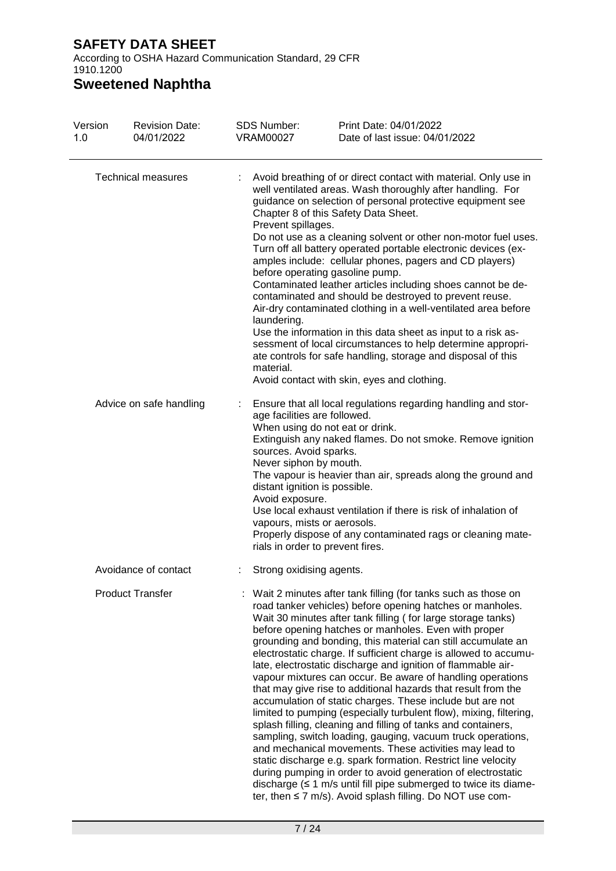According to OSHA Hazard Communication Standard, 29 CFR 1910.1200

**Sweetened Naphtha**

| Version<br>1.0 | <b>Revision Date:</b><br>04/01/2022             | <b>SDS Number:</b><br><b>VRAM00027</b>         | Print Date: 04/01/2022<br>Date of last issue: 04/01/2022                                                                                                                                                                                                                                                                                                                                                                                                                                                                                                                                                                                                                                                                                                                                                                                                                                                                                                                                                                                                                                                                                                                                                                              |
|----------------|-------------------------------------------------|------------------------------------------------|---------------------------------------------------------------------------------------------------------------------------------------------------------------------------------------------------------------------------------------------------------------------------------------------------------------------------------------------------------------------------------------------------------------------------------------------------------------------------------------------------------------------------------------------------------------------------------------------------------------------------------------------------------------------------------------------------------------------------------------------------------------------------------------------------------------------------------------------------------------------------------------------------------------------------------------------------------------------------------------------------------------------------------------------------------------------------------------------------------------------------------------------------------------------------------------------------------------------------------------|
|                | <b>Technical measures</b>                       | Prevent spillages.<br>laundering.<br>material. | Avoid breathing of or direct contact with material. Only use in<br>well ventilated areas. Wash thoroughly after handling. For<br>guidance on selection of personal protective equipment see<br>Chapter 8 of this Safety Data Sheet.<br>Do not use as a cleaning solvent or other non-motor fuel uses.<br>Turn off all battery operated portable electronic devices (ex-<br>amples include: cellular phones, pagers and CD players)<br>before operating gasoline pump.<br>Contaminated leather articles including shoes cannot be de-<br>contaminated and should be destroyed to prevent reuse.<br>Air-dry contaminated clothing in a well-ventilated area before<br>Use the information in this data sheet as input to a risk as-<br>sessment of local circumstances to help determine appropri-<br>ate controls for safe handling, storage and disposal of this<br>Avoid contact with skin, eyes and clothing.                                                                                                                                                                                                                                                                                                                       |
|                | Advice on safe handling                         | sources. Avoid sparks.<br>Avoid exposure.      | Ensure that all local regulations regarding handling and stor-<br>age facilities are followed.<br>When using do not eat or drink.<br>Extinguish any naked flames. Do not smoke. Remove ignition<br>Never siphon by mouth.<br>The vapour is heavier than air, spreads along the ground and<br>distant ignition is possible.<br>Use local exhaust ventilation if there is risk of inhalation of<br>vapours, mists or aerosols.<br>Properly dispose of any contaminated rags or cleaning mate-<br>rials in order to prevent fires.                                                                                                                                                                                                                                                                                                                                                                                                                                                                                                                                                                                                                                                                                                       |
|                | Avoidance of contact<br><b>Product Transfer</b> |                                                | Strong oxidising agents.<br>: Wait 2 minutes after tank filling (for tanks such as those on<br>road tanker vehicles) before opening hatches or manholes.<br>Wait 30 minutes after tank filling (for large storage tanks)<br>before opening hatches or manholes. Even with proper<br>grounding and bonding, this material can still accumulate an<br>electrostatic charge. If sufficient charge is allowed to accumu-<br>late, electrostatic discharge and ignition of flammable air-<br>vapour mixtures can occur. Be aware of handling operations<br>that may give rise to additional hazards that result from the<br>accumulation of static charges. These include but are not<br>limited to pumping (especially turbulent flow), mixing, filtering,<br>splash filling, cleaning and filling of tanks and containers,<br>sampling, switch loading, gauging, vacuum truck operations,<br>and mechanical movements. These activities may lead to<br>static discharge e.g. spark formation. Restrict line velocity<br>during pumping in order to avoid generation of electrostatic<br>discharge $( \leq 1 \text{ m/s}$ until fill pipe submerged to twice its diame-<br>ter, then $\leq$ 7 m/s). Avoid splash filling. Do NOT use com- |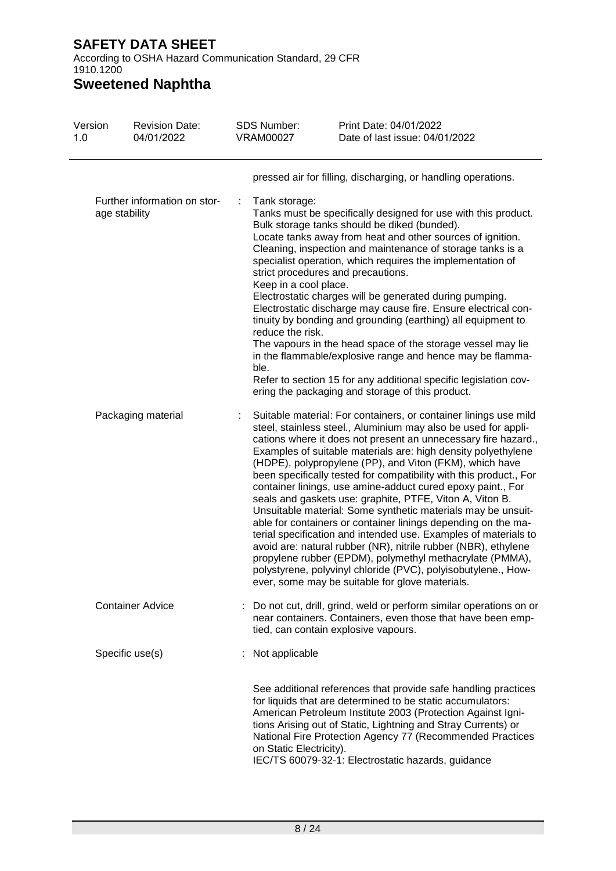According to OSHA Hazard Communication Standard, 29 CFR 1910.1200

# **Sweetened Naphtha**

| Version<br>1.0 | <b>Revision Date:</b><br>04/01/2022           | <b>SDS Number:</b><br><b>VRAM00027</b>                             | Print Date: 04/01/2022<br>Date of last issue: 04/01/2022                                                                                                                                                                                                                                                                                                                                                                                                                                                                                                                                                                                                                                                                                                                                                                                                                                                                                                                                |
|----------------|-----------------------------------------------|--------------------------------------------------------------------|-----------------------------------------------------------------------------------------------------------------------------------------------------------------------------------------------------------------------------------------------------------------------------------------------------------------------------------------------------------------------------------------------------------------------------------------------------------------------------------------------------------------------------------------------------------------------------------------------------------------------------------------------------------------------------------------------------------------------------------------------------------------------------------------------------------------------------------------------------------------------------------------------------------------------------------------------------------------------------------------|
|                |                                               |                                                                    | pressed air for filling, discharging, or handling operations.                                                                                                                                                                                                                                                                                                                                                                                                                                                                                                                                                                                                                                                                                                                                                                                                                                                                                                                           |
|                | Further information on stor-<br>age stability | Tank storage:<br>Keep in a cool place.<br>reduce the risk.<br>ble. | Tanks must be specifically designed for use with this product.<br>Bulk storage tanks should be diked (bunded).<br>Locate tanks away from heat and other sources of ignition.<br>Cleaning, inspection and maintenance of storage tanks is a<br>specialist operation, which requires the implementation of<br>strict procedures and precautions.<br>Electrostatic charges will be generated during pumping.<br>Electrostatic discharge may cause fire. Ensure electrical con-<br>tinuity by bonding and grounding (earthing) all equipment to<br>The vapours in the head space of the storage vessel may lie<br>in the flammable/explosive range and hence may be flamma-<br>Refer to section 15 for any additional specific legislation cov-<br>ering the packaging and storage of this product.                                                                                                                                                                                         |
|                | Packaging material                            |                                                                    | Suitable material: For containers, or container linings use mild<br>steel, stainless steel., Aluminium may also be used for appli-<br>cations where it does not present an unnecessary fire hazard.,<br>Examples of suitable materials are: high density polyethylene<br>(HDPE), polypropylene (PP), and Viton (FKM), which have<br>been specifically tested for compatibility with this product., For<br>container linings, use amine-adduct cured epoxy paint., For<br>seals and gaskets use: graphite, PTFE, Viton A, Viton B.<br>Unsuitable material: Some synthetic materials may be unsuit-<br>able for containers or container linings depending on the ma-<br>terial specification and intended use. Examples of materials to<br>avoid are: natural rubber (NR), nitrile rubber (NBR), ethylene<br>propylene rubber (EPDM), polymethyl methacrylate (PMMA),<br>polystyrene, polyvinyl chloride (PVC), polyisobutylene., How-<br>ever, some may be suitable for glove materials. |
|                | <b>Container Advice</b>                       |                                                                    | Do not cut, drill, grind, weld or perform similar operations on or<br>near containers. Containers, even those that have been emp-<br>tied, can contain explosive vapours.                                                                                                                                                                                                                                                                                                                                                                                                                                                                                                                                                                                                                                                                                                                                                                                                               |
|                | Specific use(s)                               | Not applicable                                                     |                                                                                                                                                                                                                                                                                                                                                                                                                                                                                                                                                                                                                                                                                                                                                                                                                                                                                                                                                                                         |
|                |                                               | on Static Electricity).                                            | See additional references that provide safe handling practices<br>for liquids that are determined to be static accumulators:<br>American Petroleum Institute 2003 (Protection Against Igni-<br>tions Arising out of Static, Lightning and Stray Currents) or<br>National Fire Protection Agency 77 (Recommended Practices<br>IEC/TS 60079-32-1: Electrostatic hazards, guidance                                                                                                                                                                                                                                                                                                                                                                                                                                                                                                                                                                                                         |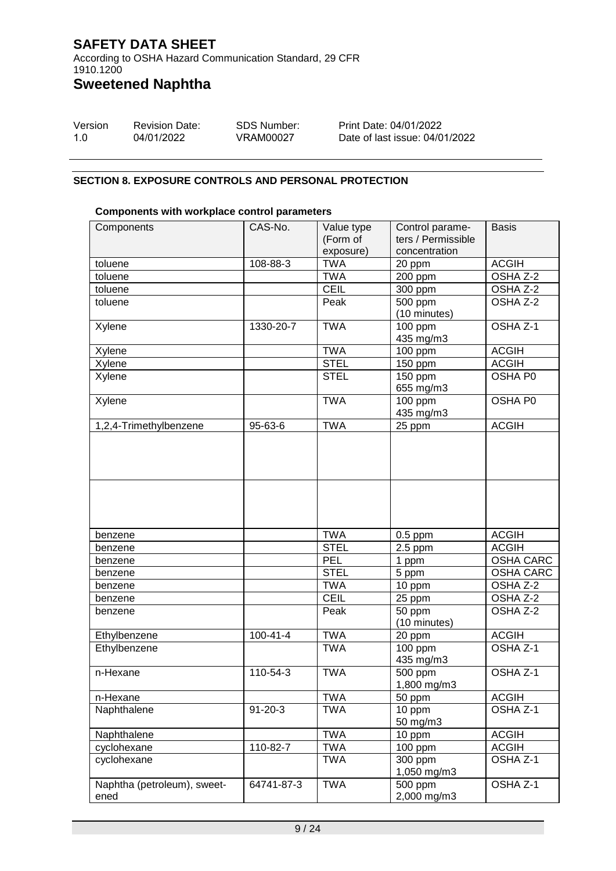According to OSHA Hazard Communication Standard, 29 CFR 1910.1200

**Sweetened Naphtha**

| Version | <b>Revision Date:</b> | SDS Number: | Print Date: 04/01/2022         |
|---------|-----------------------|-------------|--------------------------------|
| -1.O    | 04/01/2022            | VRAM00027   | Date of last issue: 04/01/2022 |

#### **SECTION 8. EXPOSURE CONTROLS AND PERSONAL PROTECTION**

#### **Components with workplace control parameters**

| Components                          | CAS-No.        | Value type<br>(Form of<br>exposure) | Control parame-<br>ters / Permissible<br>concentration | <b>Basis</b>     |
|-------------------------------------|----------------|-------------------------------------|--------------------------------------------------------|------------------|
| toluene                             | 108-88-3       | <b>TWA</b>                          | 20 ppm                                                 | <b>ACGIH</b>     |
| toluene                             |                | <b>TWA</b>                          | 200 ppm                                                | OSHA Z-2         |
| toluene                             |                | <b>CEIL</b>                         | 300 ppm                                                | OSHA Z-2         |
| toluene                             |                | Peak                                | 500 ppm<br>(10 minutes)                                | OSHA Z-2         |
| Xylene                              | 1330-20-7      | <b>TWA</b>                          | 100 ppm<br>435 mg/m3                                   | OSHA Z-1         |
| Xylene                              |                | <b>TWA</b>                          | 100 ppm                                                | <b>ACGIH</b>     |
| Xylene                              |                | <b>STEL</b>                         | 150 ppm                                                | <b>ACGIH</b>     |
| Xylene                              |                | <b>STEL</b>                         | 150 ppm<br>655 mg/m3                                   | OSHA P0          |
| Xylene                              |                | <b>TWA</b>                          | 100 ppm<br>435 mg/m3                                   | OSHA P0          |
| 1,2,4-Trimethylbenzene              | 95-63-6        | <b>TWA</b>                          | 25 ppm                                                 | <b>ACGIH</b>     |
|                                     |                |                                     |                                                        |                  |
|                                     |                |                                     |                                                        |                  |
| benzene                             |                | <b>TWA</b>                          | $0.5$ ppm                                              | <b>ACGIH</b>     |
| benzene                             |                | <b>STEL</b>                         | $2.5$ ppm                                              | <b>ACGIH</b>     |
| benzene                             |                | <b>PEL</b>                          | 1 ppm                                                  | <b>OSHA CARC</b> |
| benzene                             |                | <b>STEL</b>                         | 5 ppm                                                  | <b>OSHA CARC</b> |
| benzene                             |                | <b>TWA</b>                          | 10 ppm                                                 | OSHA Z-2         |
| benzene                             |                | <b>CEIL</b>                         | 25 ppm                                                 | OSHA Z-2         |
| benzene                             |                | Peak                                | 50 ppm<br>(10 minutes)                                 | OSHA Z-2         |
| Ethylbenzene                        | $100 - 41 - 4$ | <b>TWA</b>                          | 20 ppm                                                 | <b>ACGIH</b>     |
| Ethylbenzene                        |                | <b>TWA</b>                          | $100$ ppm<br>435 mg/m3                                 | OSHA Z-1         |
| n-Hexane                            | 110-54-3       | <b>TWA</b>                          | 500 ppm<br>1,800 mg/m3                                 | OSHA Z-1         |
| n-Hexane                            |                | <b>TWA</b>                          | 50 ppm                                                 | <b>ACGIH</b>     |
| Naphthalene                         | $91 - 20 - 3$  | <b>TWA</b>                          | 10 ppm<br>50 mg/m3                                     | OSHA Z-1         |
| Naphthalene                         |                | <b>TWA</b>                          | 10 ppm                                                 | <b>ACGIH</b>     |
| cyclohexane                         | 110-82-7       | <b>TWA</b>                          | 100 ppm                                                | <b>ACGIH</b>     |
| cyclohexane                         |                | <b>TWA</b>                          | 300 ppm<br>1,050 mg/m3                                 | OSHA Z-1         |
| Naphtha (petroleum), sweet-<br>ened | 64741-87-3     | <b>TWA</b>                          | 500 ppm<br>2,000 mg/m3                                 | OSHA Z-1         |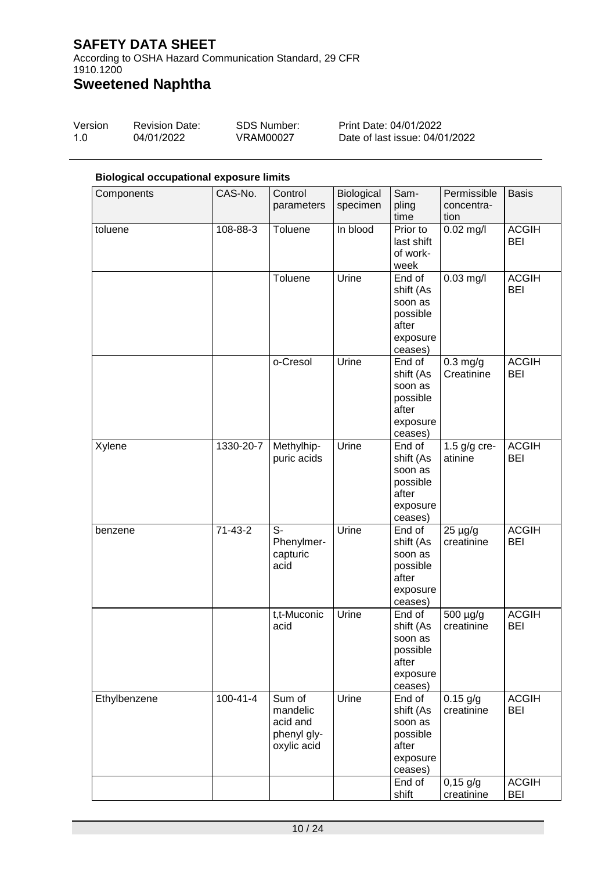According to OSHA Hazard Communication Standard, 29 CFR 1910.1200

# **Sweetened Naphtha**

| Version | <b>Revision Date:</b> | SDS Number: | Print Date: 04/01/2022         |
|---------|-----------------------|-------------|--------------------------------|
| 1.0     | 04/01/2022            | VRAM00027   | Date of last issue: 04/01/2022 |

#### **Biological occupational exposure limits**

| Components   | CAS-No.        | Control          | Biological | Sam-                 | Permissible    | <b>Basis</b> |
|--------------|----------------|------------------|------------|----------------------|----------------|--------------|
|              |                | parameters       | specimen   | pling                | concentra-     |              |
|              |                |                  |            | time                 | tion           |              |
| toluene      | 108-88-3       | Toluene          | In blood   | Prior to             | $0.02$ mg/l    | <b>ACGIH</b> |
|              |                |                  |            | last shift           |                | <b>BEI</b>   |
|              |                |                  |            | of work-<br>week     |                |              |
|              |                | Toluene          | Urine      | End of               | $0.03$ mg/l    | <b>ACGIH</b> |
|              |                |                  |            | shift (As            |                | <b>BEI</b>   |
|              |                |                  |            | soon as              |                |              |
|              |                |                  |            | possible             |                |              |
|              |                |                  |            | after                |                |              |
|              |                |                  |            | exposure             |                |              |
|              |                | o-Cresol         | Urine      | ceases)<br>End of    | $0.3$ mg/g     | <b>ACGIH</b> |
|              |                |                  |            | shift (As            | Creatinine     | <b>BEI</b>   |
|              |                |                  |            | soon as              |                |              |
|              |                |                  |            | possible             |                |              |
|              |                |                  |            | after                |                |              |
|              |                |                  |            | exposure             |                |              |
|              |                |                  |            | ceases)              |                |              |
| Xylene       | 1330-20-7      | Methylhip-       | Urine      | End of               | 1.5 $g/g$ cre- | <b>ACGIH</b> |
|              |                | puric acids      |            | shift (As<br>soon as | atinine        | <b>BEI</b>   |
|              |                |                  |            | possible             |                |              |
|              |                |                  |            | after                |                |              |
|              |                |                  |            | exposure             |                |              |
|              |                |                  |            | ceases)              |                |              |
| benzene      | $71-43-2$      | $S-$             | Urine      | End of               | $25 \mu g/g$   | <b>ACGIH</b> |
|              |                | Phenylmer-       |            | shift (As            | creatinine     | <b>BEI</b>   |
|              |                | capturic<br>acid |            | soon as<br>possible  |                |              |
|              |                |                  |            | after                |                |              |
|              |                |                  |            | exposure             |                |              |
|              |                |                  |            | ceases)              |                |              |
|              |                | t,t-Muconic      | Urine      | End of               | 500 µg/g       | <b>ACGIH</b> |
|              |                | acid             |            | shift (As            | creatinine     | <b>BEI</b>   |
|              |                |                  |            | soon as              |                |              |
|              |                |                  |            | possible<br>after    |                |              |
|              |                |                  |            | exposure             |                |              |
|              |                |                  |            | ceases)              |                |              |
| Ethylbenzene | $100 - 41 - 4$ | Sum of           | Urine      | End of               | $0.15$ g/g     | <b>ACGIH</b> |
|              |                | mandelic         |            | shift (As            | creatinine     | <b>BEI</b>   |
|              |                | acid and         |            | soon as              |                |              |
|              |                | phenyl gly-      |            | possible             |                |              |
|              |                | oxylic acid      |            | after<br>exposure    |                |              |
|              |                |                  |            | ceases)              |                |              |
|              |                |                  |            | End of               | $0,15$ g/g     | <b>ACGIH</b> |
|              |                |                  |            | shift                | creatinine     | <b>BEI</b>   |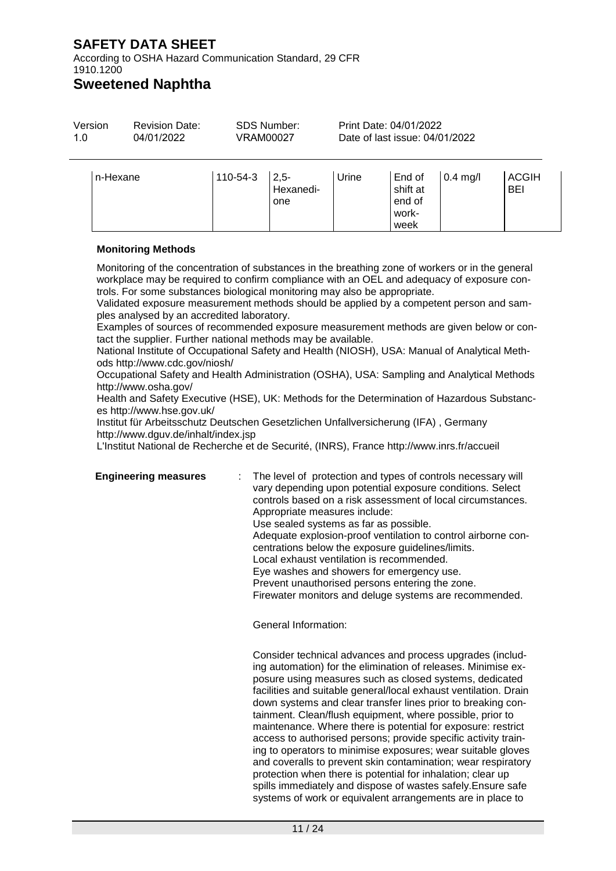According to OSHA Hazard Communication Standard, 29 CFR 1910.1200

# **Sweetened Naphtha**

| Version  | <b>Revision Date:</b> |          | <b>SDS Number:</b>         | Print Date: 04/01/2022         |                                       |            |                     |  |
|----------|-----------------------|----------|----------------------------|--------------------------------|---------------------------------------|------------|---------------------|--|
| 1.0      | 04/01/2022            |          | VRAM00027                  | Date of last issue: 04/01/2022 |                                       |            |                     |  |
| n-Hexane |                       | 110-54-3 | $2,5-$<br>Hexanedi-<br>one | Urine                          | End of<br>shift at<br>end of<br>work- | $0.4$ mg/l | <b>ACGIH</b><br>BEI |  |

#### **Monitoring Methods**

Monitoring of the concentration of substances in the breathing zone of workers or in the general workplace may be required to confirm compliance with an OEL and adequacy of exposure controls. For some substances biological monitoring may also be appropriate.

Validated exposure measurement methods should be applied by a competent person and samples analysed by an accredited laboratory.

Examples of sources of recommended exposure measurement methods are given below or contact the supplier. Further national methods may be available.

National Institute of Occupational Safety and Health (NIOSH), USA: Manual of Analytical Methods http://www.cdc.gov/niosh/

Occupational Safety and Health Administration (OSHA), USA: Sampling and Analytical Methods http://www.osha.gov/

Health and Safety Executive (HSE), UK: Methods for the Determination of Hazardous Substances http://www.hse.gov.uk/

Institut für Arbeitsschutz Deutschen Gesetzlichen Unfallversicherung (IFA) , Germany http://www.dguv.de/inhalt/index.jsp

L'Institut National de Recherche et de Securité, (INRS), France http://www.inrs.fr/accueil

**Engineering measures** : The level of protection and types of controls necessary will vary depending upon potential exposure conditions. Select controls based on a risk assessment of local circumstances. Appropriate measures include: Use sealed systems as far as possible. Adequate explosion-proof ventilation to control airborne concentrations below the exposure guidelines/limits. Local exhaust ventilation is recommended. Eye washes and showers for emergency use. Prevent unauthorised persons entering the zone. Firewater monitors and deluge systems are recommended.

week

General Information:

Consider technical advances and process upgrades (including automation) for the elimination of releases. Minimise exposure using measures such as closed systems, dedicated facilities and suitable general/local exhaust ventilation. Drain down systems and clear transfer lines prior to breaking containment. Clean/flush equipment, where possible, prior to maintenance. Where there is potential for exposure: restrict access to authorised persons; provide specific activity training to operators to minimise exposures; wear suitable gloves and coveralls to prevent skin contamination; wear respiratory protection when there is potential for inhalation; clear up spills immediately and dispose of wastes safely.Ensure safe systems of work or equivalent arrangements are in place to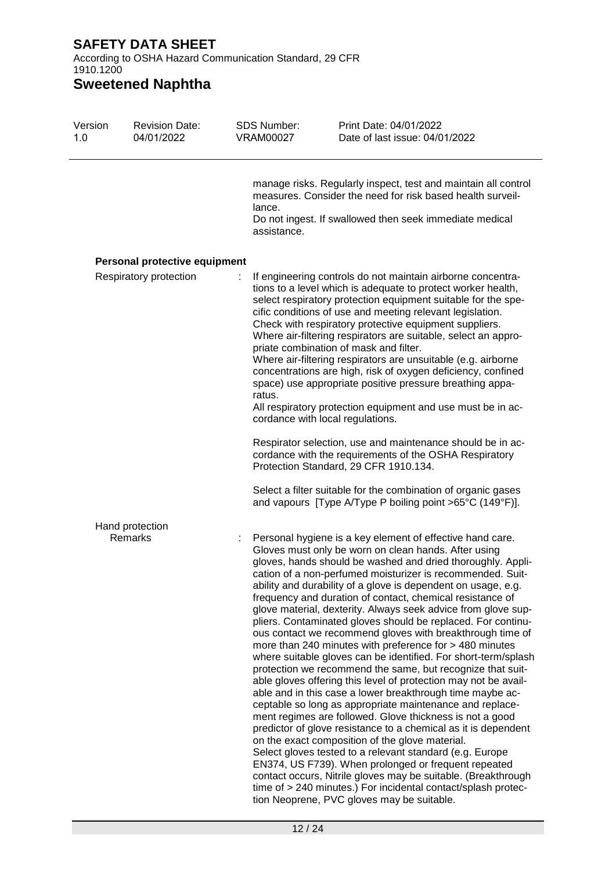According to OSHA Hazard Communication Standard, 29 CFR 1910.1200

# **Sweetened Naphtha**

| Version<br>1.0 | <b>Revision Date:</b><br>04/01/2022 | <b>SDS Number:</b><br><b>VRAM00027</b> | Print Date: 04/01/2022<br>Date of last issue: 04/01/2022                                                                                                                                                                                                                                                                                                                                                                                                                                                                                                                                                                                                                                                                                                                                                                                                                                                                                                                                                                                                                                                                                                                                                                                                                                                                                                                                                                                               |
|----------------|-------------------------------------|----------------------------------------|--------------------------------------------------------------------------------------------------------------------------------------------------------------------------------------------------------------------------------------------------------------------------------------------------------------------------------------------------------------------------------------------------------------------------------------------------------------------------------------------------------------------------------------------------------------------------------------------------------------------------------------------------------------------------------------------------------------------------------------------------------------------------------------------------------------------------------------------------------------------------------------------------------------------------------------------------------------------------------------------------------------------------------------------------------------------------------------------------------------------------------------------------------------------------------------------------------------------------------------------------------------------------------------------------------------------------------------------------------------------------------------------------------------------------------------------------------|
|                |                                     | lance.<br>assistance.                  | manage risks. Regularly inspect, test and maintain all control<br>measures. Consider the need for risk based health surveil-<br>Do not ingest. If swallowed then seek immediate medical                                                                                                                                                                                                                                                                                                                                                                                                                                                                                                                                                                                                                                                                                                                                                                                                                                                                                                                                                                                                                                                                                                                                                                                                                                                                |
|                | Personal protective equipment       |                                        |                                                                                                                                                                                                                                                                                                                                                                                                                                                                                                                                                                                                                                                                                                                                                                                                                                                                                                                                                                                                                                                                                                                                                                                                                                                                                                                                                                                                                                                        |
|                | Respiratory protection              | ratus.                                 | If engineering controls do not maintain airborne concentra-<br>tions to a level which is adequate to protect worker health,<br>select respiratory protection equipment suitable for the spe-<br>cific conditions of use and meeting relevant legislation.<br>Check with respiratory protective equipment suppliers.<br>Where air-filtering respirators are suitable, select an appro-<br>priate combination of mask and filter.<br>Where air-filtering respirators are unsuitable (e.g. airborne<br>concentrations are high, risk of oxygen deficiency, confined<br>space) use appropriate positive pressure breathing appa-<br>All respiratory protection equipment and use must be in ac-<br>cordance with local regulations.                                                                                                                                                                                                                                                                                                                                                                                                                                                                                                                                                                                                                                                                                                                        |
|                |                                     |                                        | Respirator selection, use and maintenance should be in ac-<br>cordance with the requirements of the OSHA Respiratory<br>Protection Standard, 29 CFR 1910.134.                                                                                                                                                                                                                                                                                                                                                                                                                                                                                                                                                                                                                                                                                                                                                                                                                                                                                                                                                                                                                                                                                                                                                                                                                                                                                          |
|                |                                     |                                        | Select a filter suitable for the combination of organic gases<br>and vapours [Type A/Type P boiling point >65°C (149°F)].                                                                                                                                                                                                                                                                                                                                                                                                                                                                                                                                                                                                                                                                                                                                                                                                                                                                                                                                                                                                                                                                                                                                                                                                                                                                                                                              |
|                | Hand protection<br>Remarks          |                                        | Personal hygiene is a key element of effective hand care.<br>Gloves must only be worn on clean hands. After using<br>gloves, hands should be washed and dried thoroughly. Appli-<br>cation of a non-perfumed moisturizer is recommended. Suit-<br>ability and durability of a glove is dependent on usage, e.g.<br>frequency and duration of contact, chemical resistance of<br>glove material, dexterity. Always seek advice from glove sup-<br>pliers. Contaminated gloves should be replaced. For continu-<br>ous contact we recommend gloves with breakthrough time of<br>more than 240 minutes with preference for > 480 minutes<br>where suitable gloves can be identified. For short-term/splash<br>protection we recommend the same, but recognize that suit-<br>able gloves offering this level of protection may not be avail-<br>able and in this case a lower breakthrough time maybe ac-<br>ceptable so long as appropriate maintenance and replace-<br>ment regimes are followed. Glove thickness is not a good<br>predictor of glove resistance to a chemical as it is dependent<br>on the exact composition of the glove material.<br>Select gloves tested to a relevant standard (e.g. Europe<br>EN374, US F739). When prolonged or frequent repeated<br>contact occurs, Nitrile gloves may be suitable. (Breakthrough<br>time of > 240 minutes.) For incidental contact/splash protec-<br>tion Neoprene, PVC gloves may be suitable. |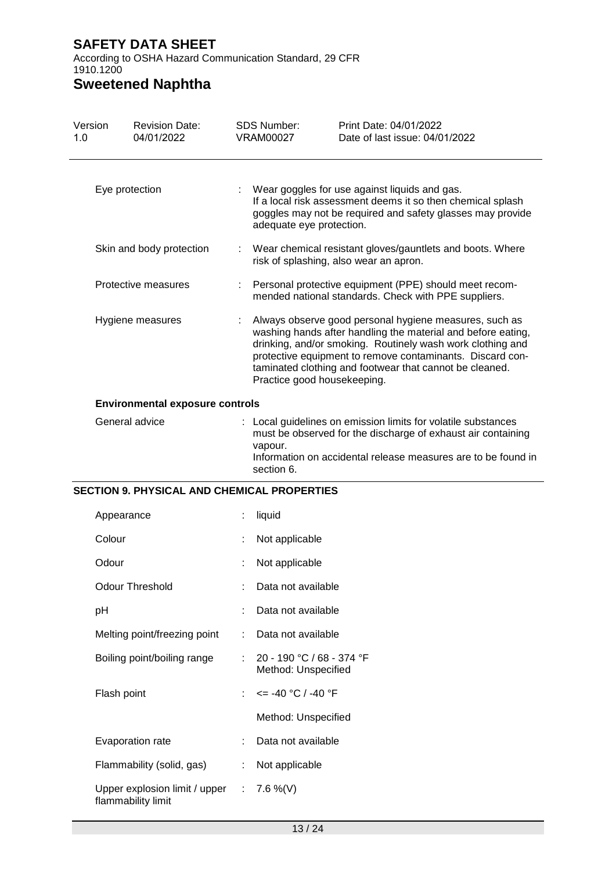According to OSHA Hazard Communication Standard, 29 CFR 1910.1200

# **Sweetened Naphtha**

| Version<br>1.0 | <b>Revision Date:</b><br>04/01/2022                | <b>SDS Number:</b><br><b>VRAM00027</b>                                                                                                                                                                                                                                                                                                      | Print Date: 04/01/2022<br>Date of last issue: 04/01/2022                                                                                                                   |  |  |
|----------------|----------------------------------------------------|---------------------------------------------------------------------------------------------------------------------------------------------------------------------------------------------------------------------------------------------------------------------------------------------------------------------------------------------|----------------------------------------------------------------------------------------------------------------------------------------------------------------------------|--|--|
|                | Eye protection                                     | adequate eye protection.                                                                                                                                                                                                                                                                                                                    | Wear goggles for use against liquids and gas.<br>If a local risk assessment deems it so then chemical splash<br>goggles may not be required and safety glasses may provide |  |  |
|                | Skin and body protection                           | Wear chemical resistant gloves/gauntlets and boots. Where<br>risk of splashing, also wear an apron.                                                                                                                                                                                                                                         |                                                                                                                                                                            |  |  |
|                | Protective measures                                | Personal protective equipment (PPE) should meet recom-<br>mended national standards. Check with PPE suppliers.                                                                                                                                                                                                                              |                                                                                                                                                                            |  |  |
|                | Hygiene measures                                   | Always observe good personal hygiene measures, such as<br>washing hands after handling the material and before eating,<br>drinking, and/or smoking. Routinely wash work clothing and<br>protective equipment to remove contaminants. Discard con-<br>taminated clothing and footwear that cannot be cleaned.<br>Practice good housekeeping. |                                                                                                                                                                            |  |  |
|                | <b>Environmental exposure controls</b>             |                                                                                                                                                                                                                                                                                                                                             |                                                                                                                                                                            |  |  |
|                | General advice                                     | : Local guidelines on emission limits for volatile substances<br>must be observed for the discharge of exhaust air containing<br>vapour.<br>Information on accidental release measures are to be found in<br>section 6.                                                                                                                     |                                                                                                                                                                            |  |  |
|                | <b>SECTION 9. PHYSICAL AND CHEMICAL PROPERTIES</b> |                                                                                                                                                                                                                                                                                                                                             |                                                                                                                                                                            |  |  |
|                | Appearance                                         | liquid                                                                                                                                                                                                                                                                                                                                      |                                                                                                                                                                            |  |  |
|                | Colour                                             | Not applicable                                                                                                                                                                                                                                                                                                                              |                                                                                                                                                                            |  |  |
|                | Odour                                              | Not applicable                                                                                                                                                                                                                                                                                                                              |                                                                                                                                                                            |  |  |
|                | <b>Odour Threshold</b>                             | Data not available                                                                                                                                                                                                                                                                                                                          |                                                                                                                                                                            |  |  |
| pH             |                                                    | Data not available                                                                                                                                                                                                                                                                                                                          |                                                                                                                                                                            |  |  |
|                | Melting point/freezing point                       | Data not available                                                                                                                                                                                                                                                                                                                          |                                                                                                                                                                            |  |  |
|                | Boiling point/boiling range                        | 20 - 190 °C / 68 - 374 °F<br>Method: Unspecified                                                                                                                                                                                                                                                                                            |                                                                                                                                                                            |  |  |

Flash point  $\therefore$   $\leq -40 \degree C / -40 \degree F$ 

Method: Unspecified

- Evaporation rate : Data not available
- Flammability (solid, gas) : Not applicable Upper explosion limit / upper flammability limit :  $7.6 \%$  (V)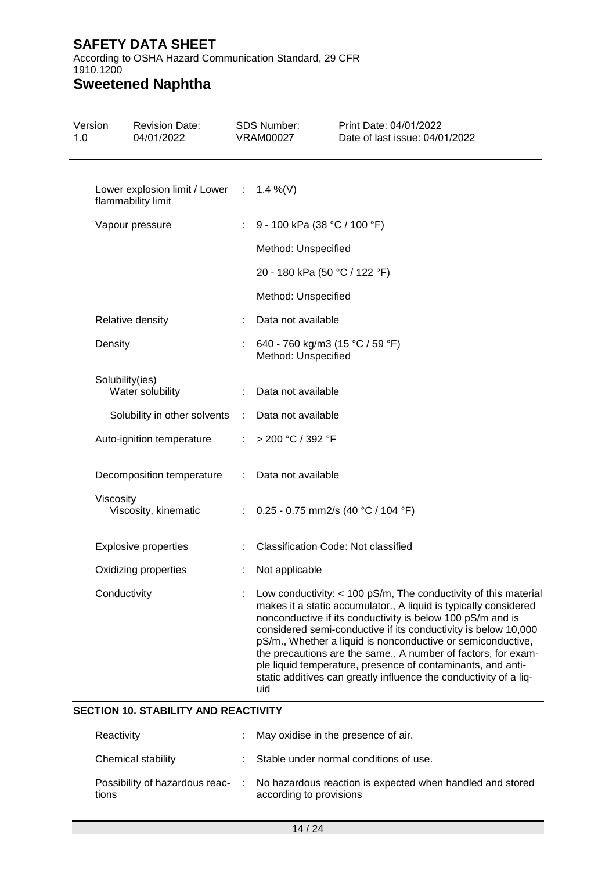According to OSHA Hazard Communication Standard, 29 CFR 1910.1200

# **Sweetened Naphtha**

| <b>Revision Date:</b><br>04/01/2022 |                                                                                                                                                                                                                                                      |                                                           | Print Date: 04/01/2022<br>Date of last issue: 04/01/2022                                                                                                                                                                                                                                                                                                                                                                                                                                                                                  |
|-------------------------------------|------------------------------------------------------------------------------------------------------------------------------------------------------------------------------------------------------------------------------------------------------|-----------------------------------------------------------|-------------------------------------------------------------------------------------------------------------------------------------------------------------------------------------------------------------------------------------------------------------------------------------------------------------------------------------------------------------------------------------------------------------------------------------------------------------------------------------------------------------------------------------------|
|                                     |                                                                                                                                                                                                                                                      |                                                           |                                                                                                                                                                                                                                                                                                                                                                                                                                                                                                                                           |
|                                     | ÷                                                                                                                                                                                                                                                    |                                                           | 9 - 100 kPa (38 °C / 100 °F)                                                                                                                                                                                                                                                                                                                                                                                                                                                                                                              |
|                                     |                                                                                                                                                                                                                                                      |                                                           |                                                                                                                                                                                                                                                                                                                                                                                                                                                                                                                                           |
|                                     |                                                                                                                                                                                                                                                      |                                                           | 20 - 180 kPa (50 °C / 122 °F)                                                                                                                                                                                                                                                                                                                                                                                                                                                                                                             |
|                                     |                                                                                                                                                                                                                                                      |                                                           |                                                                                                                                                                                                                                                                                                                                                                                                                                                                                                                                           |
|                                     |                                                                                                                                                                                                                                                      |                                                           |                                                                                                                                                                                                                                                                                                                                                                                                                                                                                                                                           |
|                                     |                                                                                                                                                                                                                                                      |                                                           | 640 - 760 kg/m3 (15 °C / 59 °F)                                                                                                                                                                                                                                                                                                                                                                                                                                                                                                           |
|                                     |                                                                                                                                                                                                                                                      |                                                           |                                                                                                                                                                                                                                                                                                                                                                                                                                                                                                                                           |
|                                     |                                                                                                                                                                                                                                                      |                                                           |                                                                                                                                                                                                                                                                                                                                                                                                                                                                                                                                           |
|                                     | ÷.                                                                                                                                                                                                                                                   |                                                           |                                                                                                                                                                                                                                                                                                                                                                                                                                                                                                                                           |
|                                     | ÷                                                                                                                                                                                                                                                    |                                                           |                                                                                                                                                                                                                                                                                                                                                                                                                                                                                                                                           |
|                                     | ÷.                                                                                                                                                                                                                                                   |                                                           | 0.25 - 0.75 mm2/s (40 °C / 104 °F)                                                                                                                                                                                                                                                                                                                                                                                                                                                                                                        |
|                                     |                                                                                                                                                                                                                                                      |                                                           | <b>Classification Code: Not classified</b>                                                                                                                                                                                                                                                                                                                                                                                                                                                                                                |
|                                     |                                                                                                                                                                                                                                                      |                                                           |                                                                                                                                                                                                                                                                                                                                                                                                                                                                                                                                           |
|                                     |                                                                                                                                                                                                                                                      | uid                                                       | Low conductivity: $<$ 100 pS/m, The conductivity of this material<br>makes it a static accumulator., A liquid is typically considered<br>nonconductive if its conductivity is below 100 pS/m and is<br>considered semi-conductive if its conductivity is below 10,000<br>pS/m., Whether a liquid is nonconductive or semiconductive,<br>the precautions are the same., A number of factors, for exam-<br>ple liquid temperature, presence of contaminants, and anti-<br>static additives can greatly influence the conductivity of a liq- |
|                                     | flammability limit<br>Vapour pressure<br>Relative density<br>Density<br>Solubility(ies)<br>Water solubility<br>Auto-ignition temperature<br>Viscosity<br>Viscosity, kinematic<br><b>Explosive properties</b><br>Oxidizing properties<br>Conductivity | Solubility in other solvents<br>Decomposition temperature | <b>SDS Number:</b><br><b>VRAM00027</b><br>Lower explosion limit / Lower : 1.4 %(V)<br>Method: Unspecified<br>Method: Unspecified<br>Data not available<br>Method: Unspecified<br>Data not available<br>Data not available<br>÷.<br>> 200 °C / 392 °F<br>Data not available<br>Not applicable                                                                                                                                                                                                                                              |

#### **SECTION 10. STABILITY AND REACTIVITY**

| Reactivity         | : May oxidise in the presence of air.                                                                                 |
|--------------------|-----------------------------------------------------------------------------------------------------------------------|
| Chemical stability | : Stable under normal conditions of use.                                                                              |
| tions              | Possibility of hazardous reac- : No hazardous reaction is expected when handled and stored<br>according to provisions |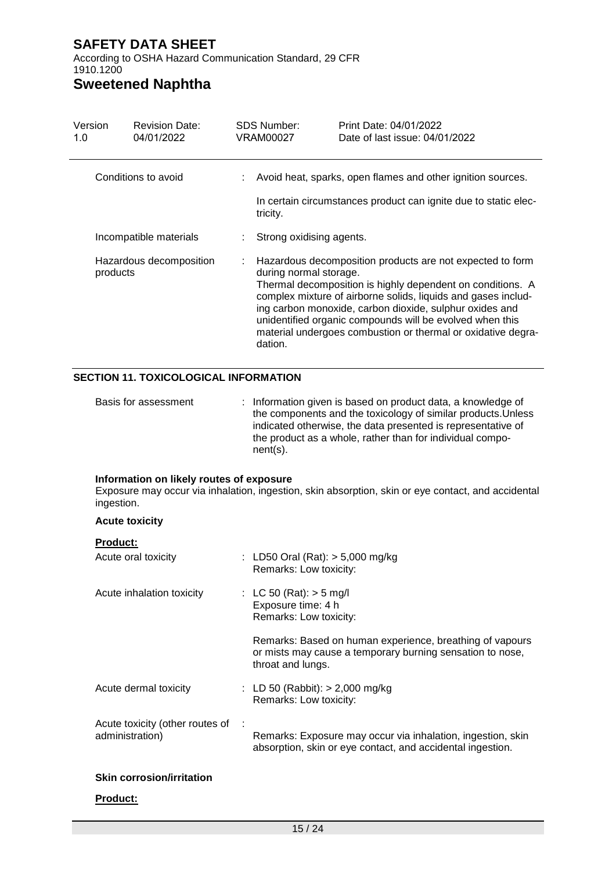According to OSHA Hazard Communication Standard, 29 CFR 1910.1200

# **Sweetened Naphtha**

| Version<br>1.0 | <b>Revision Date:</b><br>04/01/2022 | <b>SDS Number:</b><br>VRAM00027   | Print Date: 04/01/2022<br>Date of last issue: 04/01/2022                                                                                                                                                                                                                                                                                                                        |
|----------------|-------------------------------------|-----------------------------------|---------------------------------------------------------------------------------------------------------------------------------------------------------------------------------------------------------------------------------------------------------------------------------------------------------------------------------------------------------------------------------|
|                | Conditions to avoid                 | tricity.                          | Avoid heat, sparks, open flames and other ignition sources.<br>In certain circumstances product can ignite due to static elec-                                                                                                                                                                                                                                                  |
|                | Incompatible materials              | Strong oxidising agents.          |                                                                                                                                                                                                                                                                                                                                                                                 |
| products       | Hazardous decomposition             | during normal storage.<br>dation. | Hazardous decomposition products are not expected to form<br>Thermal decomposition is highly dependent on conditions. A<br>complex mixture of airborne solids, liquids and gases includ-<br>ing carbon monoxide, carbon dioxide, sulphur oxides and<br>unidentified organic compounds will be evolved when this<br>material undergoes combustion or thermal or oxidative degra- |

#### **SECTION 11. TOXICOLOGICAL INFORMATION**

| Basis for assessment | : Information given is based on product data, a knowledge of<br>the components and the toxicology of similar products. Unless<br>indicated otherwise, the data presented is representative of<br>the product as a whole, rather than for individual compo- |
|----------------------|------------------------------------------------------------------------------------------------------------------------------------------------------------------------------------------------------------------------------------------------------------|
|                      | $nent(s)$ .                                                                                                                                                                                                                                                |

#### **Information on likely routes of exposure**

Exposure may occur via inhalation, ingestion, skin absorption, skin or eye contact, and accidental ingestion.

| <b>Acute toxicity</b>                              |                                                                                                                                            |  |
|----------------------------------------------------|--------------------------------------------------------------------------------------------------------------------------------------------|--|
| <b>Product:</b><br>Acute oral toxicity             | : LD50 Oral (Rat): $>$ 5,000 mg/kg<br>Remarks: Low toxicity:                                                                               |  |
| Acute inhalation toxicity                          | : LC 50 (Rat): $>$ 5 mg/l<br>Exposure time: 4 h<br>Remarks: Low toxicity:                                                                  |  |
|                                                    | Remarks: Based on human experience, breathing of vapours<br>or mists may cause a temporary burning sensation to nose,<br>throat and lungs. |  |
| Acute dermal toxicity                              | : LD 50 (Rabbit): $> 2,000$ mg/kg<br>Remarks: Low toxicity:                                                                                |  |
| Acute toxicity (other routes of<br>administration) | Remarks: Exposure may occur via inhalation, ingestion, skin<br>absorption, skin or eye contact, and accidental ingestion.                  |  |
| <b>Skin corrosion/irritation</b>                   |                                                                                                                                            |  |
| <b>Product:</b>                                    |                                                                                                                                            |  |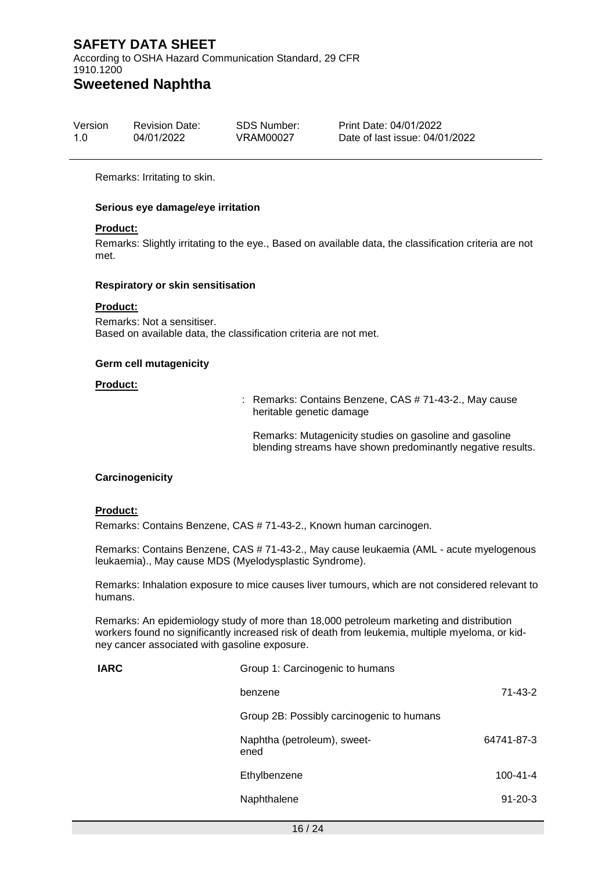According to OSHA Hazard Communication Standard, 29 CFR 1910.1200

# **Sweetened Naphtha**

| Version | <b>Revision Date:</b> | SDS Number: | Print Date: 04/01/2022         |
|---------|-----------------------|-------------|--------------------------------|
| 1.0     | 04/01/2022            | VRAM00027   | Date of last issue: 04/01/2022 |

Remarks: Irritating to skin.

#### **Serious eye damage/eye irritation**

#### **Product:**

Remarks: Slightly irritating to the eye., Based on available data, the classification criteria are not met.

#### **Respiratory or skin sensitisation**

#### **Product:**

Remarks: Not a sensitiser. Based on available data, the classification criteria are not met.

#### **Germ cell mutagenicity**

#### **Product:**

: Remarks: Contains Benzene, CAS # 71-43-2., May cause heritable genetic damage

Remarks: Mutagenicity studies on gasoline and gasoline blending streams have shown predominantly negative results.

#### **Carcinogenicity**

#### **Product:**

Remarks: Contains Benzene, CAS # 71-43-2., Known human carcinogen.

Remarks: Contains Benzene, CAS # 71-43-2., May cause leukaemia (AML - acute myelogenous leukaemia)., May cause MDS (Myelodysplastic Syndrome).

Remarks: Inhalation exposure to mice causes liver tumours, which are not considered relevant to humans.

Remarks: An epidemiology study of more than 18,000 petroleum marketing and distribution workers found no significantly increased risk of death from leukemia, multiple myeloma, or kidney cancer associated with gasoline exposure.

| <b>IARC</b> | Group 1: Carcinogenic to humans           |                |  |  |
|-------------|-------------------------------------------|----------------|--|--|
|             | benzene                                   | $71 - 43 - 2$  |  |  |
|             | Group 2B: Possibly carcinogenic to humans |                |  |  |
|             | Naphtha (petroleum), sweet-<br>ened       | 64741-87-3     |  |  |
|             | Ethylbenzene                              | $100 - 41 - 4$ |  |  |
|             | Naphthalene                               | $91 - 20 - 3$  |  |  |
|             |                                           |                |  |  |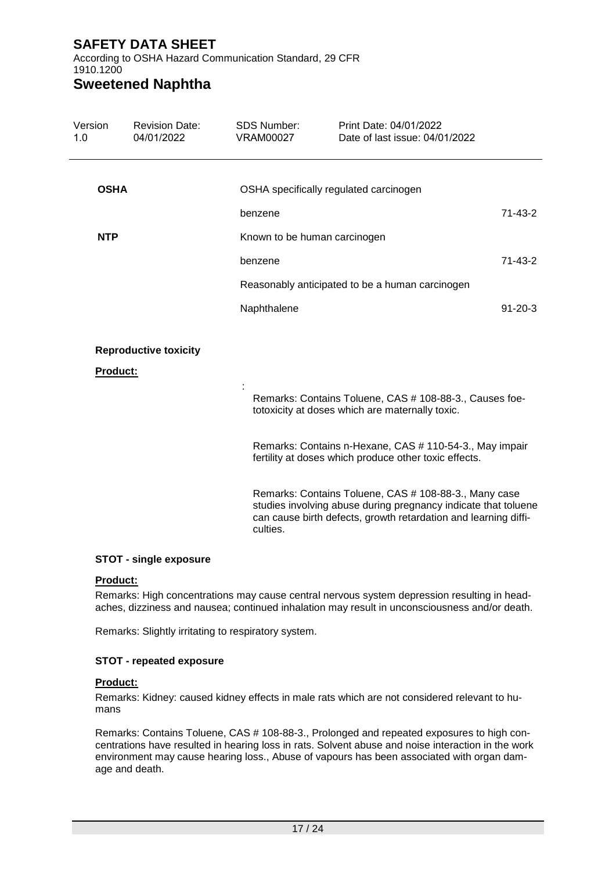According to OSHA Hazard Communication Standard, 29 CFR 1910.1200

# **Sweetened Naphtha**

| Version<br>1.0  | <b>Revision Date:</b><br>04/01/2022 | <b>SDS Number:</b><br><b>VRAM00027</b> | Print Date: 04/01/2022<br>Date of last issue: 04/01/2022                                                                                                                                   |               |
|-----------------|-------------------------------------|----------------------------------------|--------------------------------------------------------------------------------------------------------------------------------------------------------------------------------------------|---------------|
| <b>OSHA</b>     |                                     |                                        | OSHA specifically regulated carcinogen                                                                                                                                                     |               |
|                 |                                     |                                        |                                                                                                                                                                                            |               |
|                 |                                     | benzene                                |                                                                                                                                                                                            | 71-43-2       |
| <b>NTP</b>      |                                     | Known to be human carcinogen           |                                                                                                                                                                                            |               |
|                 |                                     | benzene                                |                                                                                                                                                                                            | $71 - 43 - 2$ |
|                 |                                     |                                        | Reasonably anticipated to be a human carcinogen                                                                                                                                            |               |
|                 |                                     | Naphthalene                            |                                                                                                                                                                                            | $91 - 20 - 3$ |
| <b>Product:</b> | <b>Reproductive toxicity</b>        |                                        |                                                                                                                                                                                            |               |
|                 |                                     |                                        | Remarks: Contains Toluene, CAS # 108-88-3., Causes foe-<br>totoxicity at doses which are maternally toxic.                                                                                 |               |
|                 |                                     |                                        | Remarks: Contains n-Hexane, CAS # 110-54-3., May impair<br>fertility at doses which produce other toxic effects.                                                                           |               |
|                 |                                     | culties.                               | Remarks: Contains Toluene, CAS # 108-88-3., Many case<br>studies involving abuse during pregnancy indicate that toluene<br>can cause birth defects, growth retardation and learning diffi- |               |

#### **STOT - single exposure**

#### **Product:**

Remarks: High concentrations may cause central nervous system depression resulting in headaches, dizziness and nausea; continued inhalation may result in unconsciousness and/or death.

Remarks: Slightly irritating to respiratory system.

#### **STOT - repeated exposure**

#### **Product:**

Remarks: Kidney: caused kidney effects in male rats which are not considered relevant to humans

Remarks: Contains Toluene, CAS # 108-88-3., Prolonged and repeated exposures to high concentrations have resulted in hearing loss in rats. Solvent abuse and noise interaction in the work environment may cause hearing loss., Abuse of vapours has been associated with organ damage and death.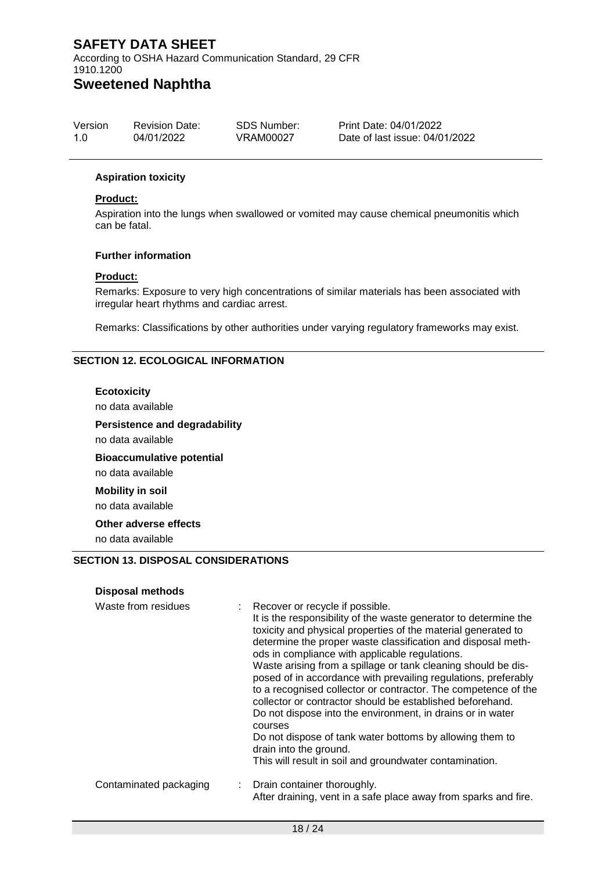According to OSHA Hazard Communication Standard, 29 CFR 1910.1200

# **Sweetened Naphtha**

| Version | <b>Revision Date:</b> | SDS Number: | Print Date: 04/01/2022         |
|---------|-----------------------|-------------|--------------------------------|
| 1.0     | 04/01/2022            | VRAM00027   | Date of last issue: 04/01/2022 |

#### **Aspiration toxicity**

#### **Product:**

Aspiration into the lungs when swallowed or vomited may cause chemical pneumonitis which can be fatal.

#### **Further information**

#### **Product:**

Remarks: Exposure to very high concentrations of similar materials has been associated with irregular heart rhythms and cardiac arrest.

Remarks: Classifications by other authorities under varying regulatory frameworks may exist.

#### **SECTION 12. ECOLOGICAL INFORMATION**

#### **Ecotoxicity**

no data available

#### **Persistence and degradability**

no data available

**Bioaccumulative potential** no data available

**Mobility in soil** no data available

**Other adverse effects**

no data available

#### **SECTION 13. DISPOSAL CONSIDERATIONS**

#### **Disposal methods**

| Waste from residues    | Recover or recycle if possible.<br>It is the responsibility of the waste generator to determine the<br>toxicity and physical properties of the material generated to<br>determine the proper waste classification and disposal meth-<br>ods in compliance with applicable regulations.<br>Waste arising from a spillage or tank cleaning should be dis-<br>posed of in accordance with prevailing regulations, preferably<br>to a recognised collector or contractor. The competence of the<br>collector or contractor should be established beforehand.<br>Do not dispose into the environment, in drains or in water<br>courses<br>Do not dispose of tank water bottoms by allowing them to<br>drain into the ground.<br>This will result in soil and groundwater contamination. |
|------------------------|------------------------------------------------------------------------------------------------------------------------------------------------------------------------------------------------------------------------------------------------------------------------------------------------------------------------------------------------------------------------------------------------------------------------------------------------------------------------------------------------------------------------------------------------------------------------------------------------------------------------------------------------------------------------------------------------------------------------------------------------------------------------------------|
| Contaminated packaging | Drain container thoroughly.<br>t.<br>After draining, vent in a safe place away from sparks and fire.                                                                                                                                                                                                                                                                                                                                                                                                                                                                                                                                                                                                                                                                               |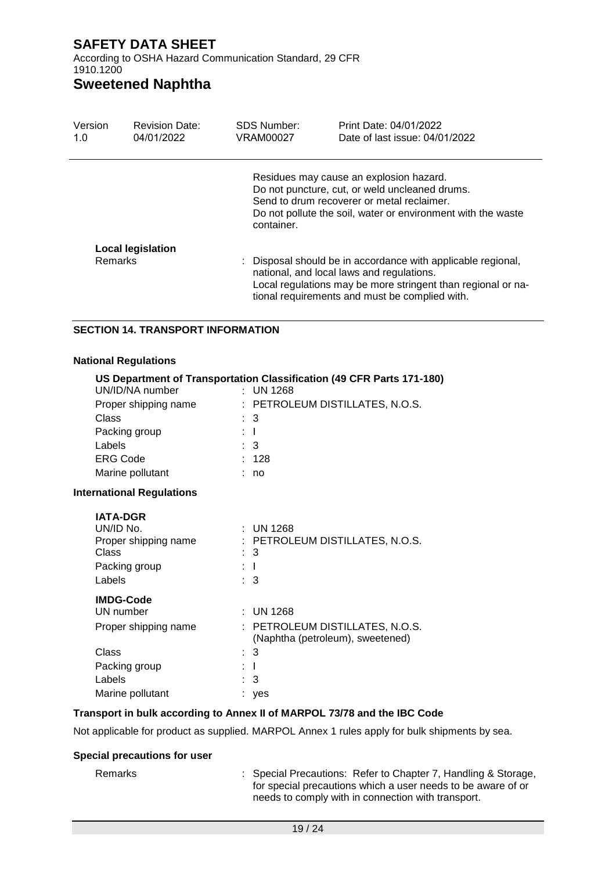According to OSHA Hazard Communication Standard, 29 CFR 1910.1200

### **Sweetened Naphtha**

| Version<br>1.0 | <b>Revision Date:</b><br>04/01/2022 | SDS Number:<br><b>VRAM00027</b> | Print Date: 04/01/2022<br>Date of last issue: $04/01/2022$                                                                                                                                                                  |
|----------------|-------------------------------------|---------------------------------|-----------------------------------------------------------------------------------------------------------------------------------------------------------------------------------------------------------------------------|
|                |                                     | container.                      | Residues may cause an explosion hazard.<br>Do not puncture, cut, or weld uncleaned drums.<br>Send to drum recoverer or metal reclaimer.<br>Do not pollute the soil, water or environment with the waste                     |
| <b>Remarks</b> | Local legislation                   |                                 | : Disposal should be in accordance with applicable regional,<br>national, and local laws and regulations.<br>Local regulations may be more stringent than regional or na-<br>tional requirements and must be complied with. |

#### **SECTION 14. TRANSPORT INFORMATION**

#### **National Regulations**

| UN/ID/NA number<br>Proper shipping name<br>Class<br>Packing group<br>Labels              | US Department of Transportation Classification (49 CFR Parts 171-180)<br>$:$ UN 1268<br>: PETROLEUM DISTILLATES, N.O.S.<br>: 3<br>$\mathbf{1}$<br>$\therefore$ 3 |
|------------------------------------------------------------------------------------------|------------------------------------------------------------------------------------------------------------------------------------------------------------------|
| <b>ERG Code</b>                                                                          | : 128                                                                                                                                                            |
| Marine pollutant                                                                         | no                                                                                                                                                               |
| <b>International Regulations</b>                                                         |                                                                                                                                                                  |
| <b>IATA-DGR</b><br>UN/ID No.<br>Proper shipping name<br>Class<br>Packing group<br>Labels | : UN 1268<br>: PETROLEUM DISTILLATES, N.O.S.<br>: 3<br>: T<br>: 3                                                                                                |
| <b>IMDG-Code</b><br>UN number<br>Droper chinning name                                    | $:$ UN 1268<br>DETDALELIM DISTILLATES N A S                                                                                                                      |

# Proper shipping name : PETROLEUM DISTILLATES, N.O.S. (Naphtha (petroleum), sweetened) Class : 3 Packing group : I Labels : 3

### **Transport in bulk according to Annex II of MARPOL 73/78 and the IBC Code**

Not applicable for product as supplied. MARPOL Annex 1 rules apply for bulk shipments by sea.

### **Special precautions for user**

Marine pollutant **in the set of the Startup** contains the set of the set of the set of the set of the set of the set of the set of the set of the set of the set of the set of the set of the set of the set of the set of the

Remarks : Special Precautions: Refer to Chapter 7, Handling & Storage, for special precautions which a user needs to be aware of or needs to comply with in connection with transport.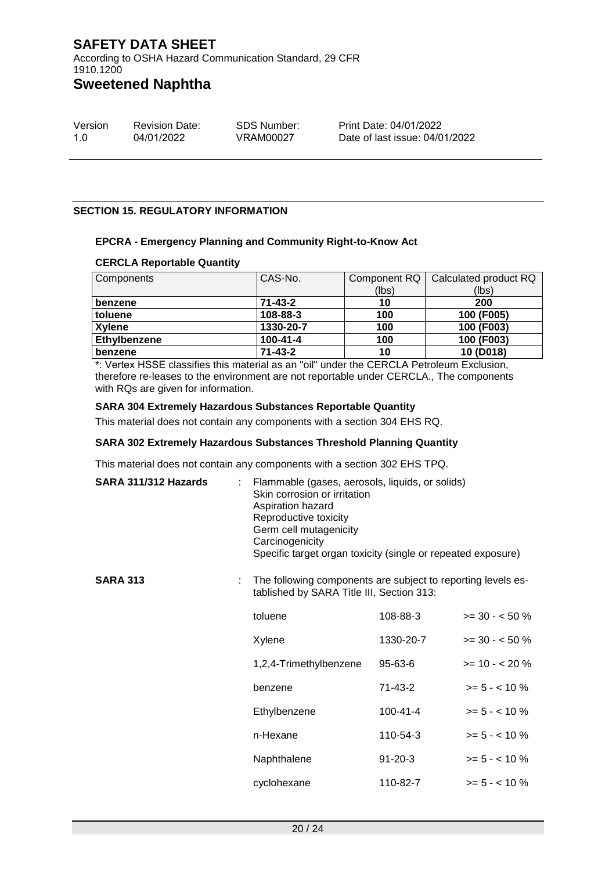According to OSHA Hazard Communication Standard, 29 CFR 1910.1200

## **Sweetened Naphtha**

| Version | <b>Revision Date:</b> | SDS Number: | Print Date: 04/01/2022         |
|---------|-----------------------|-------------|--------------------------------|
| 1.0     | 04/01/2022            | VRAM00027   | Date of last issue: 04/01/2022 |

#### **SECTION 15. REGULATORY INFORMATION**

#### **EPCRA - Emergency Planning and Community Right-to-Know Act**

#### **CERCLA Reportable Quantity**

| Components    | CAS-No.        | Component RQ | Calculated product RQ |
|---------------|----------------|--------------|-----------------------|
|               |                | (lbs)        | (lbs)                 |
| benzene       | $71 - 43 - 2$  | 10           | 200                   |
| toluene       | 108-88-3       | 100          | 100 (F005)            |
| <b>Xylene</b> | 1330-20-7      | 100          | 100 (F003)            |
| Ethylbenzene  | $100 - 41 - 4$ | 100          | 100 (F003)            |
| benzene       | $71 - 43 - 2$  | 10           | 10 (D018)             |

\*: Vertex HSSE classifies this material as an "oil" under the CERCLA Petroleum Exclusion, therefore re-leases to the environment are not reportable under CERCLA., The components with RQs are given for information.

#### **SARA 304 Extremely Hazardous Substances Reportable Quantity**

This material does not contain any components with a section 304 EHS RQ.

#### **SARA 302 Extremely Hazardous Substances Threshold Planning Quantity**

This material does not contain any components with a section 302 EHS TPQ.

| SARA 311/312 Hazards |    | Flammable (gases, aerosols, liquids, or solids)<br>Skin corrosion or irritation<br>Aspiration hazard<br>Reproductive toxicity<br>Germ cell mutagenicity<br>Carcinogenicity<br>Specific target organ toxicity (single or repeated exposure) |                |                  |  |
|----------------------|----|--------------------------------------------------------------------------------------------------------------------------------------------------------------------------------------------------------------------------------------------|----------------|------------------|--|
| <b>SARA 313</b>      | ÷. | The following components are subject to reporting levels es-<br>tablished by SARA Title III, Section 313:                                                                                                                                  |                |                  |  |
|                      |    | toluene                                                                                                                                                                                                                                    | 108-88-3       | $>= 30 - 50 %$   |  |
|                      |    | Xylene                                                                                                                                                                                                                                     | 1330-20-7      | $>= 30 - 50 \%$  |  |
|                      |    | 1,2,4-Trimethylbenzene                                                                                                                                                                                                                     | 95-63-6        | $>= 10 - 20%$    |  |
|                      |    | benzene                                                                                                                                                                                                                                    | 71-43-2        | $>= 5 - < 10 \%$ |  |
|                      |    | Ethylbenzene                                                                                                                                                                                                                               | $100 - 41 - 4$ | $>= 5 - < 10 \%$ |  |
|                      |    | n-Hexane                                                                                                                                                                                                                                   | 110-54-3       | $>= 5 - < 10 \%$ |  |
|                      |    | Naphthalene                                                                                                                                                                                                                                | $91 - 20 - 3$  | $>= 5 - < 10 \%$ |  |
|                      |    | cyclohexane                                                                                                                                                                                                                                | 110-82-7       | $>= 5 - < 10 \%$ |  |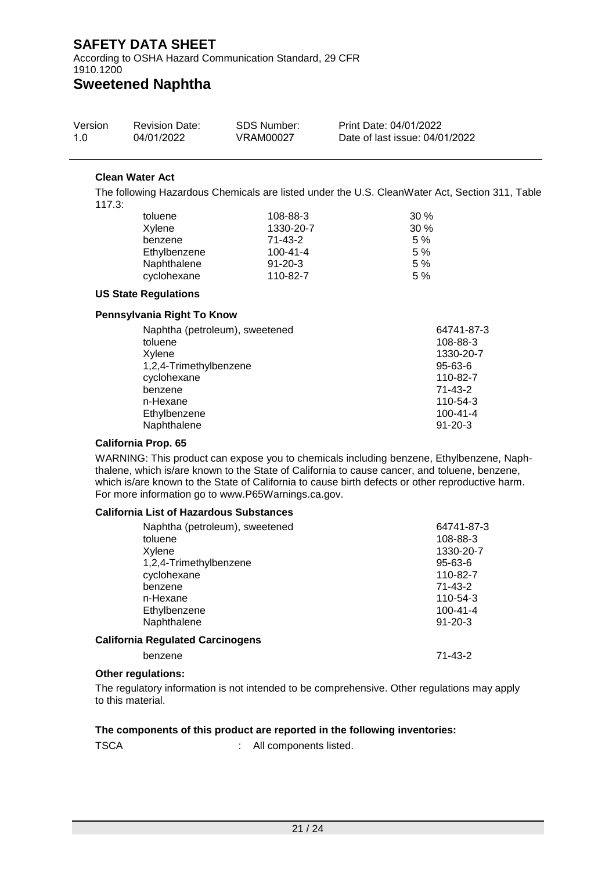According to OSHA Hazard Communication Standard, 29 CFR 1910.1200

## **Sweetened Naphtha**

| Version | <b>Revision Date:</b> | SDS Number: | Print Date: 04/01/2022         |
|---------|-----------------------|-------------|--------------------------------|
| 1.0     | 04/01/2022            | VRAM00027   | Date of last issue: 04/01/2022 |

#### **Clean Water Act**

The following Hazardous Chemicals are listed under the U.S. CleanWater Act, Section 311, Table 117.3:

| 108-88-3       | $30\%$ |
|----------------|--------|
| 1330-20-7      | $30\%$ |
| $71 - 43 - 2$  | 5%     |
| $100 - 41 - 4$ | 5%     |
| $91 - 20 - 3$  | 5%     |
| 110-82-7       | 5%     |
|                |        |

#### **US State Regulations**

#### **Pennsylvania Right To Know**

| toluene<br>108-88-3<br>1330-20-7<br>Xylene<br>1,2,4-Trimethylbenzene<br>$95 - 63 - 6$<br>cyclohexane<br>110-82-7<br>benzene<br>71-43-2<br>n-Hexane<br>110-54-3 | 64741-87-3 |
|----------------------------------------------------------------------------------------------------------------------------------------------------------------|------------|
|                                                                                                                                                                |            |
|                                                                                                                                                                |            |
|                                                                                                                                                                |            |
|                                                                                                                                                                |            |
|                                                                                                                                                                |            |
|                                                                                                                                                                |            |
| Ethylbenzene<br>$100 - 41 - 4$                                                                                                                                 |            |
| Naphthalene<br>$91 - 20 - 3$                                                                                                                                   |            |

#### **California Prop. 65**

WARNING: This product can expose you to chemicals including benzene, Ethylbenzene, Naphthalene, which is/are known to the State of California to cause cancer, and toluene, benzene, which is/are known to the State of California to cause birth defects or other reproductive harm. For more information go to www.P65Warnings.ca.gov.

#### **California List of Hazardous Substances**

| Naphtha (petroleum), sweetened<br>toluene<br>Xylene<br>1,2,4-Trimethylbenzene<br>cyclohexane<br>benzene<br>n-Hexane<br>Ethylbenzene | 64741-87-3<br>108-88-3<br>1330-20-7<br>$95 - 63 - 6$<br>110-82-7<br>71-43-2<br>110-54-3<br>$100 - 41 - 4$ |
|-------------------------------------------------------------------------------------------------------------------------------------|-----------------------------------------------------------------------------------------------------------|
| Naphthalene                                                                                                                         | $91 - 20 - 3$                                                                                             |
| <b>California Regulated Carcinogens</b>                                                                                             |                                                                                                           |
| benzene                                                                                                                             | $71 - 43 - 2$                                                                                             |

#### **Other regulations:**

The regulatory information is not intended to be comprehensive. Other regulations may apply to this material.

#### **The components of this product are reported in the following inventories:**

TSCA : All components listed.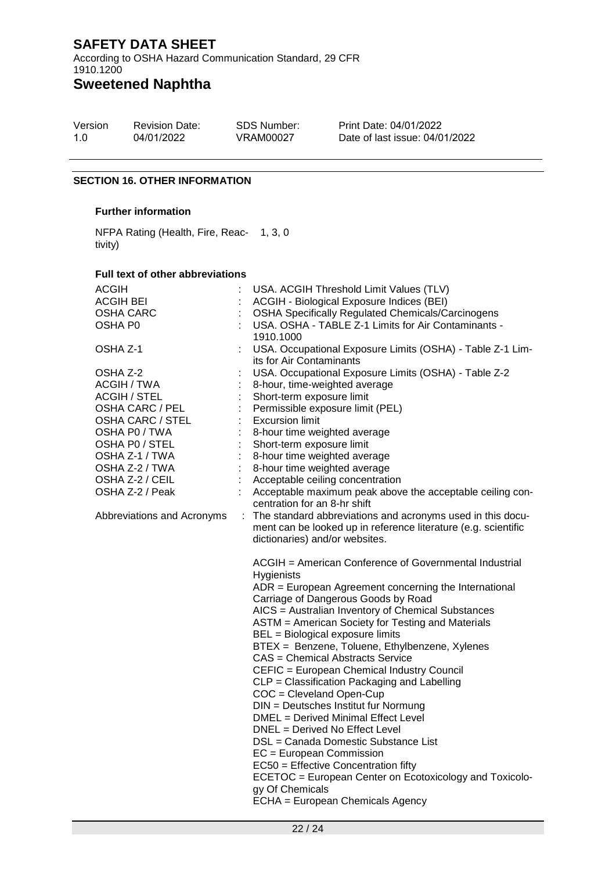According to OSHA Hazard Communication Standard, 29 CFR 1910.1200

# **Sweetened Naphtha**

| Version | <b>Revision Date:</b> | <b>SDS Number:</b> | <b>Print Dat</b> |
|---------|-----------------------|--------------------|------------------|
| 1.0     | 04/01/2022            | VRAM00027          | Date of la       |

te: 04/01/2022 last issue: 04/01/2022

#### **SECTION 16. OTHER INFORMATION**

#### **Further information**

NFPA Rating (Health, Fire, Reac-1, 3, 0 tivity)

#### **Full text of other abbreviations**

| ACGIH<br><b>ACGIH BEI</b><br>OSHA CARC<br>OSHA P0                                                                                                                                                                                                   |    | USA. ACGIH Threshold Limit Values (TLV)<br>ACGIH - Biological Exposure Indices (BEI)<br><b>OSHA Specifically Regulated Chemicals/Carcinogens</b><br>USA. OSHA - TABLE Z-1 Limits for Air Contaminants -<br>1910.1000                                                                                                                                                                                                                                                                                                                                                                                                                                                                                                                                                                                                                                                                               |
|-----------------------------------------------------------------------------------------------------------------------------------------------------------------------------------------------------------------------------------------------------|----|----------------------------------------------------------------------------------------------------------------------------------------------------------------------------------------------------------------------------------------------------------------------------------------------------------------------------------------------------------------------------------------------------------------------------------------------------------------------------------------------------------------------------------------------------------------------------------------------------------------------------------------------------------------------------------------------------------------------------------------------------------------------------------------------------------------------------------------------------------------------------------------------------|
| OSHA Z-1<br>OSHA Z-2<br>ACGIH / TWA<br><b>ACGIH / STEL</b><br>OSHA CARC / PEL<br><b>OSHA CARC / STEL</b><br>OSHA P0 / TWA<br>OSHA PO / STEL<br>OSHA Z-1 / TWA<br>OSHA Z-2 / TWA<br>OSHA Z-2 / CEIL<br>OSHA Z-2 / Peak<br>Abbreviations and Acronyms | ÷. | USA. Occupational Exposure Limits (OSHA) - Table Z-1 Lim-<br>its for Air Contaminants<br>USA. Occupational Exposure Limits (OSHA) - Table Z-2<br>8-hour, time-weighted average<br>Short-term exposure limit<br>Permissible exposure limit (PEL)<br><b>Excursion limit</b><br>8-hour time weighted average<br>Short-term exposure limit<br>8-hour time weighted average<br>8-hour time weighted average<br>Acceptable ceiling concentration<br>Acceptable maximum peak above the acceptable ceiling con-<br>centration for an 8-hr shift<br>The standard abbreviations and acronyms used in this docu-<br>ment can be looked up in reference literature (e.g. scientific<br>dictionaries) and/or websites.                                                                                                                                                                                          |
|                                                                                                                                                                                                                                                     |    | ACGIH = American Conference of Governmental Industrial<br><b>Hygienists</b><br>ADR = European Agreement concerning the International<br>Carriage of Dangerous Goods by Road<br>AICS = Australian Inventory of Chemical Substances<br>ASTM = American Society for Testing and Materials<br>BEL = Biological exposure limits<br>BTEX = Benzene, Toluene, Ethylbenzene, Xylenes<br>CAS = Chemical Abstracts Service<br>CEFIC = European Chemical Industry Council<br>CLP = Classification Packaging and Labelling<br>COC = Cleveland Open-Cup<br>DIN = Deutsches Institut fur Normung<br><b>DMEL</b> = Derived Minimal Effect Level<br>DNEL = Derived No Effect Level<br>DSL = Canada Domestic Substance List<br>$EC = European Commission$<br>EC50 = Effective Concentration fifty<br>ECETOC = European Center on Ecotoxicology and Toxicolo-<br>gy Of Chemicals<br>ECHA = European Chemicals Agency |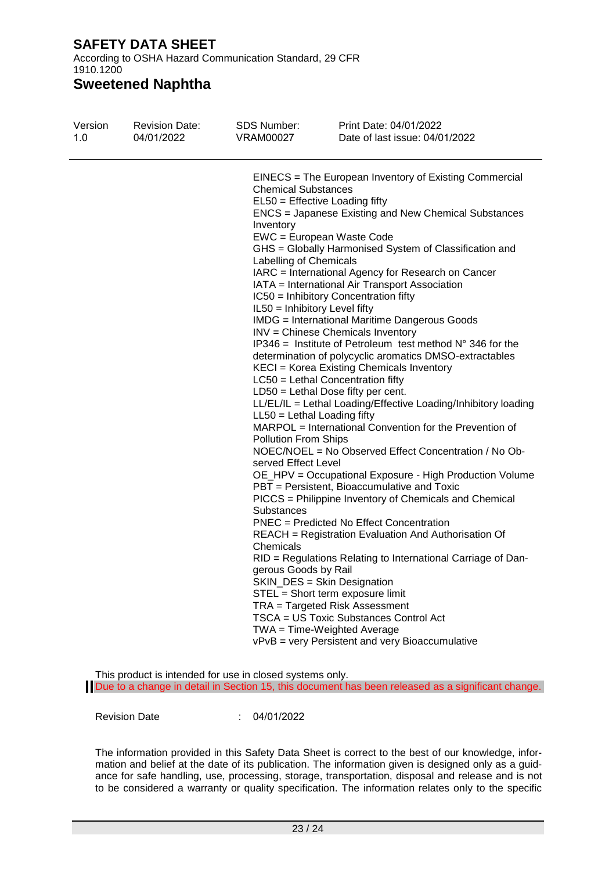According to OSHA Hazard Communication Standard, 29 CFR 1910.1200

## **Sweetened Naphtha**

| Version<br>1.0 | <b>Revision Date:</b><br>04/01/2022 | SDS Number:<br>VRAM00027                                                                                                                                                                                                                          | Print Date: 04/01/2022<br>Date of last issue: 04/01/2022                                                                                                                                                                                                                                                                                                                                                                                                                                                                                                                                                                                                                                                                                                                                                                                                                                                                                                                                                                                                                                                                                                                                                                                                                                                                                                                                                                                                                                                                    |
|----------------|-------------------------------------|---------------------------------------------------------------------------------------------------------------------------------------------------------------------------------------------------------------------------------------------------|-----------------------------------------------------------------------------------------------------------------------------------------------------------------------------------------------------------------------------------------------------------------------------------------------------------------------------------------------------------------------------------------------------------------------------------------------------------------------------------------------------------------------------------------------------------------------------------------------------------------------------------------------------------------------------------------------------------------------------------------------------------------------------------------------------------------------------------------------------------------------------------------------------------------------------------------------------------------------------------------------------------------------------------------------------------------------------------------------------------------------------------------------------------------------------------------------------------------------------------------------------------------------------------------------------------------------------------------------------------------------------------------------------------------------------------------------------------------------------------------------------------------------------|
|                |                                     | <b>Chemical Substances</b><br>Inventory<br>Labelling of Chemicals<br>IL50 = Inhibitory Level fifty<br>LL50 = Lethal Loading fifty<br><b>Pollution From Ships</b><br>served Effect Level<br><b>Substances</b><br>Chemicals<br>gerous Goods by Rail | EINECS = The European Inventory of Existing Commercial<br>EL50 = Effective Loading fifty<br><b>ENCS</b> = Japanese Existing and New Chemical Substances<br>EWC = European Waste Code<br>GHS = Globally Harmonised System of Classification and<br>IARC = International Agency for Research on Cancer<br>IATA = International Air Transport Association<br>IC50 = Inhibitory Concentration fifty<br><b>IMDG</b> = International Maritime Dangerous Goods<br>INV = Chinese Chemicals Inventory<br>IP346 = Institute of Petroleum test method $N^{\circ}$ 346 for the<br>determination of polycyclic aromatics DMSO-extractables<br>KECI = Korea Existing Chemicals Inventory<br>LC50 = Lethal Concentration fifty<br>LD50 = Lethal Dose fifty per cent.<br>LL/EL/IL = Lethal Loading/Effective Loading/Inhibitory loading<br>MARPOL = International Convention for the Prevention of<br>NOEC/NOEL = No Observed Effect Concentration / No Ob-<br>OE_HPV = Occupational Exposure - High Production Volume<br>PBT = Persistent, Bioaccumulative and Toxic<br>PICCS = Philippine Inventory of Chemicals and Chemical<br><b>PNEC</b> = Predicted No Effect Concentration<br>REACH = Registration Evaluation And Authorisation Of<br>RID = Regulations Relating to International Carriage of Dan-<br>SKIN_DES = Skin Designation<br>STEL = Short term exposure limit<br>TRA = Targeted Risk Assessment<br>TSCA = US Toxic Substances Control Act<br>TWA = Time-Weighted Average<br>vPvB = very Persistent and very Bioaccumulative |
|                |                                     |                                                                                                                                                                                                                                                   |                                                                                                                                                                                                                                                                                                                                                                                                                                                                                                                                                                                                                                                                                                                                                                                                                                                                                                                                                                                                                                                                                                                                                                                                                                                                                                                                                                                                                                                                                                                             |

This product is intended for use in closed systems only. Due to a change in detail in Section 15, this document has been released as a significant change.

Revision Date : 04/01/2022

The information provided in this Safety Data Sheet is correct to the best of our knowledge, information and belief at the date of its publication. The information given is designed only as a guidance for safe handling, use, processing, storage, transportation, disposal and release and is not to be considered a warranty or quality specification. The information relates only to the specific